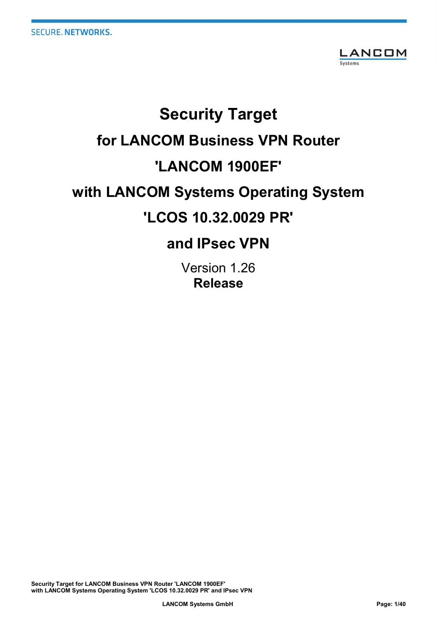

# Security Target for LANCOM Business VPN Router 'LANCOM 1900EF' with LANCOM Systems Operating System 'LCOS 10.32.0029 PR'

# and IPsec VPN

Version 1.26 Release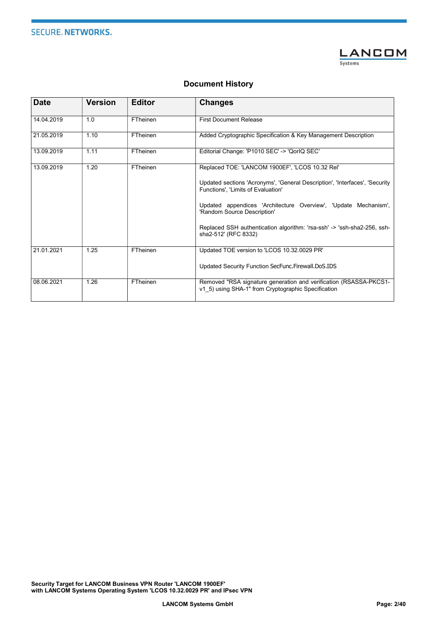**SECURE. NETWORKS.** 



#### Document History

| <b>Date</b> | <b>Version</b> | <b>Editor</b> | <b>Changes</b>                                                                                                                                                       |
|-------------|----------------|---------------|----------------------------------------------------------------------------------------------------------------------------------------------------------------------|
| 14.04.2019  | 1.0            | FTheinen      | <b>First Document Release</b>                                                                                                                                        |
| 21.05.2019  | 1.10           | FTheinen      | Added Cryptographic Specification & Key Management Description                                                                                                       |
| 13.09.2019  | 1.11           | FTheinen      | Editorial Change: 'P1010 SEC' -> 'QorlQ SEC'                                                                                                                         |
| 13.09.2019  | 1.20           | FTheinen      | Replaced TOE: 'LANCOM 1900EF', 'LCOS 10.32 Rel'<br>Updated sections 'Acronyms', 'General Description', 'Interfaces', 'Security<br>Functions'. 'Limits of Evaluation' |
|             |                |               | Updated appendices 'Architecture Overview', 'Update Mechanism',<br>'Random Source Description'                                                                       |
|             |                |               | Replaced SSH authentication algorithm: 'rsa-ssh' -> 'ssh-sha2-256, ssh-<br>sha2-512' (RFC 8332)                                                                      |
| 21.01.2021  | 1.25           | FTheinen      | Updated TOE version to 'LCOS 10.32.0029 PR'                                                                                                                          |
|             |                |               | Updated Security Function SecFunc. Firewall. DoS. IDS                                                                                                                |
| 08.06.2021  | 1.26           | FTheinen      | Removed "RSA signature generation and verification (RSASSA-PKCS1-<br>v1 5) using SHA-1" from Cryptographic Specification                                             |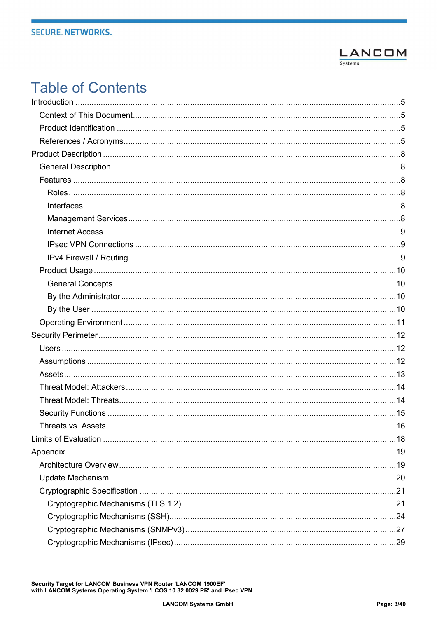

# **Table of Contents**

| Threats vs. Assets | 16 |
|--------------------|----|
|                    |    |
|                    |    |
|                    |    |
|                    |    |
|                    |    |
|                    |    |
|                    |    |
|                    |    |
|                    |    |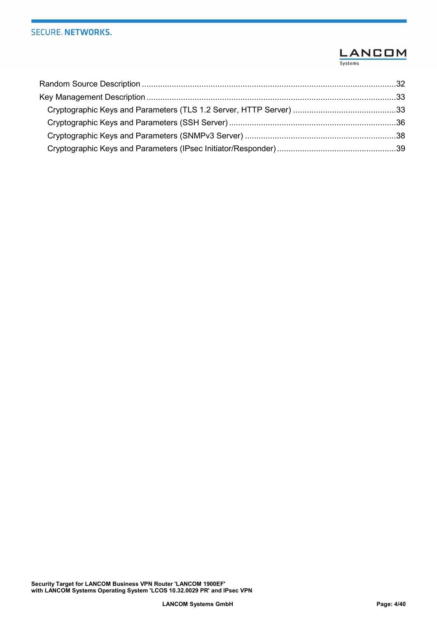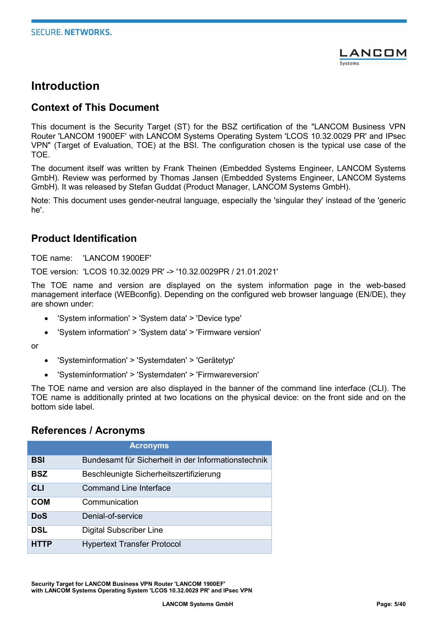

# Introduction

#### Context of This Document

This document is the Security Target (ST) for the BSZ certification of the "LANCOM Business VPN Router 'LANCOM 1900EF' with LANCOM Systems Operating System 'LCOS 10.32.0029 PR' and IPsec VPN" (Target of Evaluation, TOE) at the BSI. The configuration chosen is the typical use case of the TOE.

The document itself was written by Frank Theinen (Embedded Systems Engineer, LANCOM Systems GmbH). Review was performed by Thomas Jansen (Embedded Systems Engineer, LANCOM Systems GmbH). It was released by Stefan Guddat (Product Manager, LANCOM Systems GmbH).

Note: This document uses gender-neutral language, especially the 'singular they' instead of the 'generic he'.

#### Product Identification

TOF name: 'LANCOM 1900FF'

TOE version: 'LCOS 10.32.0029 PR' -> '10.32.0029PR / 21.01.2021'

The TOE name and version are displayed on the system information page in the web-based management interface (WEBconfig). Depending on the configured web browser language (EN/DE), they are shown under:

- 'System information' > 'System data' > 'Device type'
- 'System information' > 'System data' > 'Firmware version'

or

- 'Systeminformation' > 'Systemdaten' > 'Gerätetyp'
- 'Systeminformation' > 'Systemdaten' > 'Firmwareversion'

The TOE name and version are also displayed in the banner of the command line interface (CLI). The TOE name is additionally printed at two locations on the physical device: on the front side and on the bottom side label.

#### References / Acronyms

| <b>Acronyms</b> |                                                     |  |  |
|-----------------|-----------------------------------------------------|--|--|
| <b>BSI</b>      | Bundesamt für Sicherheit in der Informationstechnik |  |  |
| <b>BSZ</b>      | Beschleunigte Sicherheitszertifizierung             |  |  |
| <b>CLI</b>      | <b>Command Line Interface</b>                       |  |  |
| <b>COM</b>      | Communication                                       |  |  |
| <b>DoS</b>      | Denial-of-service                                   |  |  |
| <b>DSL</b>      | <b>Digital Subscriber Line</b>                      |  |  |
| <b>HTTP</b>     | <b>Hypertext Transfer Protocol</b>                  |  |  |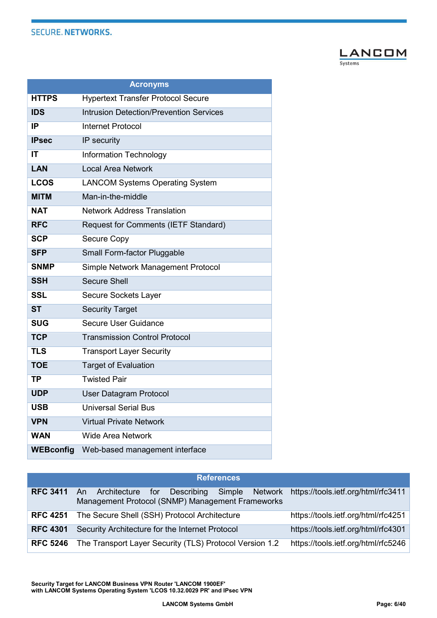

| <b>Acronyms</b>  |                                                |  |  |
|------------------|------------------------------------------------|--|--|
| <b>HTTPS</b>     | <b>Hypertext Transfer Protocol Secure</b>      |  |  |
| <b>IDS</b>       | <b>Intrusion Detection/Prevention Services</b> |  |  |
| IP               | <b>Internet Protocol</b>                       |  |  |
| <b>IPsec</b>     | IP security                                    |  |  |
| ΙT               | <b>Information Technology</b>                  |  |  |
| <b>LAN</b>       | <b>Local Area Network</b>                      |  |  |
| <b>LCOS</b>      | <b>LANCOM Systems Operating System</b>         |  |  |
| <b>MITM</b>      | Man-in-the-middle                              |  |  |
| NAT              | <b>Network Address Translation</b>             |  |  |
| <b>RFC</b>       | Request for Comments (IETF Standard)           |  |  |
| <b>SCP</b>       | <b>Secure Copy</b>                             |  |  |
| <b>SFP</b>       | Small Form-factor Pluggable                    |  |  |
| <b>SNMP</b>      | Simple Network Management Protocol             |  |  |
| <b>SSH</b>       | <b>Secure Shell</b>                            |  |  |
| <b>SSL</b>       | <b>Secure Sockets Layer</b>                    |  |  |
| <b>ST</b>        | <b>Security Target</b>                         |  |  |
| <b>SUG</b>       | Secure User Guidance                           |  |  |
| <b>TCP</b>       | <b>Transmission Control Protocol</b>           |  |  |
| <b>TLS</b>       | <b>Transport Layer Security</b>                |  |  |
| <b>TOE</b>       | <b>Target of Evaluation</b>                    |  |  |
| <b>TP</b>        | <b>Twisted Pair</b>                            |  |  |
| <b>UDP</b>       | <b>User Datagram Protocol</b>                  |  |  |
| <b>USB</b>       | <b>Universal Serial Bus</b>                    |  |  |
| <b>VPN</b>       | <b>Virtual Private Network</b>                 |  |  |
| <b>WAN</b>       | <b>Wide Area Network</b>                       |  |  |
| <b>WEBconfig</b> | Web-based management interface                 |  |  |

|                 | <b>References</b>                                                                                          |                                     |  |  |  |
|-----------------|------------------------------------------------------------------------------------------------------------|-------------------------------------|--|--|--|
|                 |                                                                                                            |                                     |  |  |  |
| <b>RFC 3411</b> | Network<br>Describing Simple<br>Architecture for<br>An<br>Management Protocol (SNMP) Management Frameworks | https://tools.ietf.org/html/rfc3411 |  |  |  |
| <b>RFC 4251</b> | The Secure Shell (SSH) Protocol Architecture                                                               | https://tools.ietf.org/html/rfc4251 |  |  |  |
| <b>RFC 4301</b> | Security Architecture for the Internet Protocol                                                            | https://tools.ietf.org/html/rfc4301 |  |  |  |
| <b>RFC 5246</b> | The Transport Layer Security (TLS) Protocol Version 1.2                                                    | https://tools.ietf.org/html/rfc5246 |  |  |  |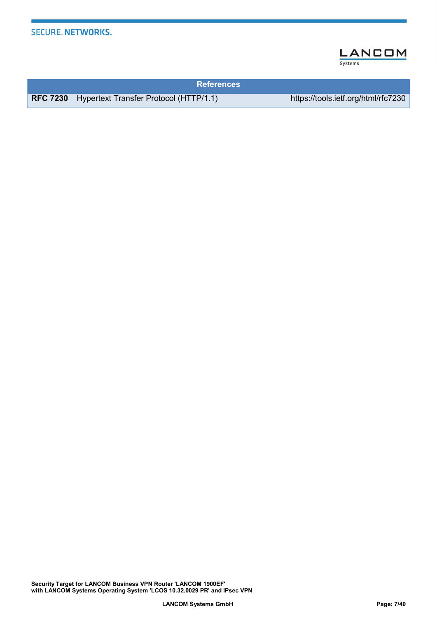

| <b>References</b>                                      |                                     |
|--------------------------------------------------------|-------------------------------------|
| <b>RFC 7230</b> Hypertext Transfer Protocol (HTTP/1.1) | https://tools.ietf.org/html/rfc7230 |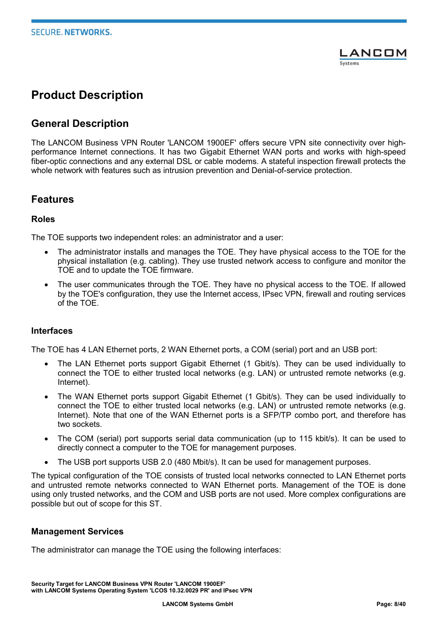

# Product Description

#### General Description

The LANCOM Business VPN Router 'LANCOM 1900EF' offers secure VPN site connectivity over highperformance Internet connections. It has two Gigabit Ethernet WAN ports and works with high-speed fiber-optic connections and any external DSL or cable modems. A stateful inspection firewall protects the whole network with features such as intrusion prevention and Denial-of-service protection.

#### Features

#### Roles

The TOE supports two independent roles: an administrator and a user:

- The administrator installs and manages the TOE. They have physical access to the TOE for the physical installation (e.g. cabling). They use trusted network access to configure and monitor the TOE and to update the TOE firmware.
- The user communicates through the TOE. They have no physical access to the TOE. If allowed by the TOE's configuration, they use the Internet access, IPsec VPN, firewall and routing services of the TOE.

#### Interfaces

The TOE has 4 LAN Ethernet ports, 2 WAN Ethernet ports, a COM (serial) port and an USB port:

- The LAN Ethernet ports support Gigabit Ethernet (1 Gbit/s). They can be used individually to connect the TOE to either trusted local networks (e.g. LAN) or untrusted remote networks (e.g. Internet).
- The WAN Ethernet ports support Gigabit Ethernet (1 Gbit/s). They can be used individually to connect the TOE to either trusted local networks (e.g. LAN) or untrusted remote networks (e.g. Internet). Note that one of the WAN Ethernet ports is a SFP/TP combo port, and therefore has two sockets.
- The COM (serial) port supports serial data communication (up to 115 kbit/s). It can be used to directly connect a computer to the TOE for management purposes.
- The USB port supports USB 2.0 (480 Mbit/s). It can be used for management purposes.

The typical configuration of the TOE consists of trusted local networks connected to LAN Ethernet ports and untrusted remote networks connected to WAN Ethernet ports. Management of the TOE is done using only trusted networks, and the COM and USB ports are not used. More complex configurations are possible but out of scope for this ST.

#### Management Services

The administrator can manage the TOE using the following interfaces: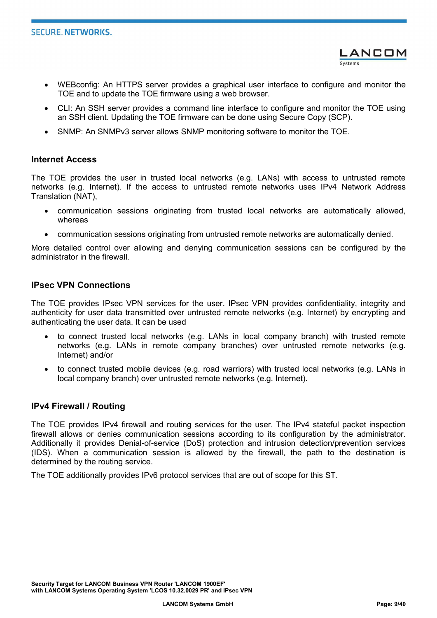

- WEBconfig: An HTTPS server provides a graphical user interface to configure and monitor the TOE and to update the TOE firmware using a web browser.
- CLI: An SSH server provides a command line interface to configure and monitor the TOE using an SSH client. Updating the TOE firmware can be done using Secure Copy (SCP).
- SNMP: An SNMPv3 server allows SNMP monitoring software to monitor the TOE.

#### Internet Access

The TOE provides the user in trusted local networks (e.g. LANs) with access to untrusted remote networks (e.g. Internet). If the access to untrusted remote networks uses IPv4 Network Address Translation (NAT),

- communication sessions originating from trusted local networks are automatically allowed, whereas
- communication sessions originating from untrusted remote networks are automatically denied.

More detailed control over allowing and denying communication sessions can be configured by the administrator in the firewall.

#### IPsec VPN Connections

The TOE provides IPsec VPN services for the user. IPsec VPN provides confidentiality, integrity and authenticity for user data transmitted over untrusted remote networks (e.g. Internet) by encrypting and authenticating the user data. It can be used

- to connect trusted local networks (e.g. LANs in local company branch) with trusted remote networks (e.g. LANs in remote company branches) over untrusted remote networks (e.g. Internet) and/or
- to connect trusted mobile devices (e.g. road warriors) with trusted local networks (e.g. LANs in local company branch) over untrusted remote networks (e.g. Internet).

#### IPv4 Firewall / Routing

The TOE provides IPv4 firewall and routing services for the user. The IPv4 stateful packet inspection firewall allows or denies communication sessions according to its configuration by the administrator. Additionally it provides Denial-of-service (DoS) protection and intrusion detection/prevention services (IDS). When a communication session is allowed by the firewall, the path to the destination is determined by the routing service.

The TOE additionally provides IPv6 protocol services that are out of scope for this ST.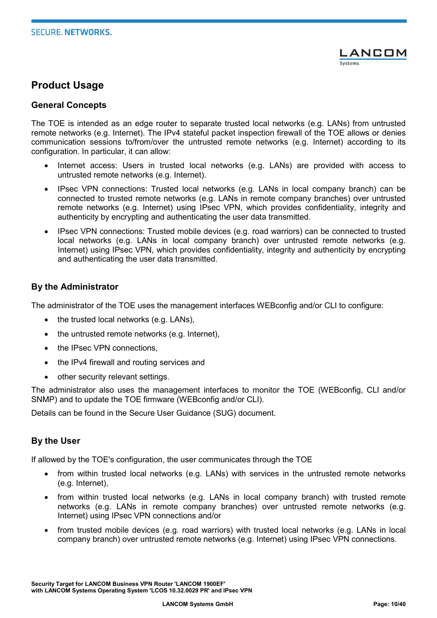

#### Product Usage

#### General Concepts

The TOE is intended as an edge router to separate trusted local networks (e.g. LANs) from untrusted remote networks (e.g. Internet). The IPv4 stateful packet inspection firewall of the TOE allows or denies communication sessions to/from/over the untrusted remote networks (e.g. Internet) according to its configuration. In particular, it can allow:

- Internet access: Users in trusted local networks (e.g. LANs) are provided with access to untrusted remote networks (e.g. Internet).
- IPsec VPN connections: Trusted local networks (e.g. LANs in local company branch) can be connected to trusted remote networks (e.g. LANs in remote company branches) over untrusted remote networks (e.g. Internet) using IPsec VPN, which provides confidentiality, integrity and authenticity by encrypting and authenticating the user data transmitted.
- IPsec VPN connections: Trusted mobile devices (e.g. road warriors) can be connected to trusted local networks (e.g. LANs in local company branch) over untrusted remote networks (e.g. Internet) using IPsec VPN, which provides confidentiality, integrity and authenticity by encrypting and authenticating the user data transmitted.

#### By the Administrator

The administrator of the TOE uses the management interfaces WEBconfig and/or CLI to configure:

- $\bullet$  the trusted local networks (e.g. LANs),
- $\bullet$  the untrusted remote networks (e.g. Internet),
- the IPsec VPN connections,
- the IPv4 firewall and routing services and
- other security relevant settings.

The administrator also uses the management interfaces to monitor the TOE (WEBconfig, CLI and/or SNMP) and to update the TOE firmware (WEBconfig and/or CLI).

Details can be found in the Secure User Guidance (SUG) document.

#### By the User

If allowed by the TOE's configuration, the user communicates through the TOE

- from within trusted local networks (e.g. LANs) with services in the untrusted remote networks (e.g. Internet),
- from within trusted local networks (e.g. LANs in local company branch) with trusted remote networks (e.g. LANs in remote company branches) over untrusted remote networks (e.g. Internet) using IPsec VPN connections and/or
- from trusted mobile devices (e.g. road warriors) with trusted local networks (e.g. LANs in local company branch) over untrusted remote networks (e.g. Internet) using IPsec VPN connections.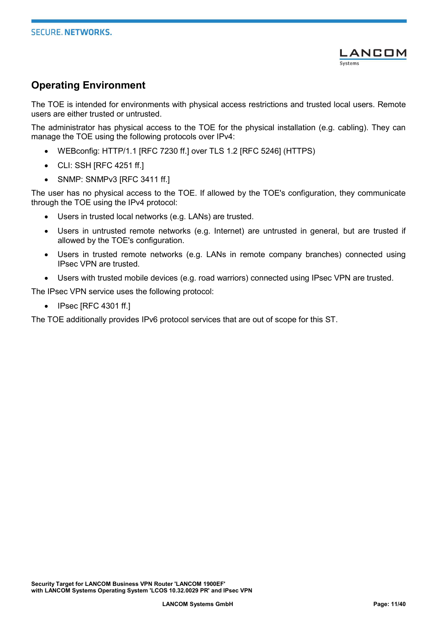

### Operating Environment

The TOE is intended for environments with physical access restrictions and trusted local users. Remote users are either trusted or untrusted.

The administrator has physical access to the TOE for the physical installation (e.g. cabling). They can manage the TOE using the following protocols over IPv4:

- WEBconfig: HTTP/1.1 [RFC 7230 ff.] over TLS 1.2 [RFC 5246] (HTTPS)
- CLI: SSH [RFC 4251 ff.]
- SNMP: SNMPv3 IRFC 3411 ff.1

The user has no physical access to the TOE. If allowed by the TOE's configuration, they communicate through the TOE using the IPv4 protocol:

- Users in trusted local networks (e.g. LANs) are trusted.
- Users in untrusted remote networks (e.g. Internet) are untrusted in general, but are trusted if allowed by the TOE's configuration.
- Users in trusted remote networks (e.g. LANs in remote company branches) connected using IPsec VPN are trusted.
- Users with trusted mobile devices (e.g. road warriors) connected using IPsec VPN are trusted.

The IPsec VPN service uses the following protocol:

• IPsec [RFC 4301 ff.]

The TOE additionally provides IPv6 protocol services that are out of scope for this ST.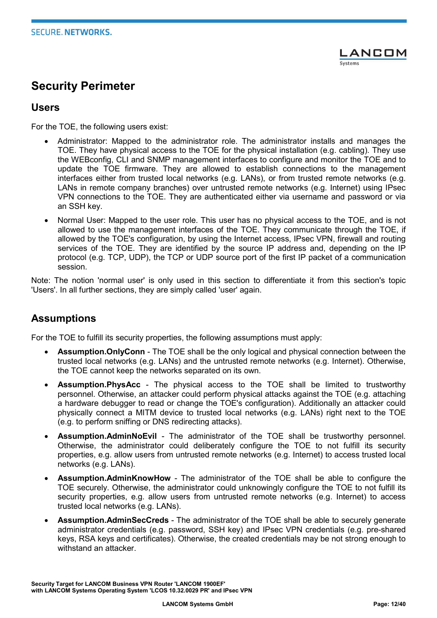

# Security Perimeter

#### Users

For the TOE, the following users exist:

- Administrator: Mapped to the administrator role. The administrator installs and manages the TOE. They have physical access to the TOE for the physical installation (e.g. cabling). They use the WEBconfig, CLI and SNMP management interfaces to configure and monitor the TOE and to update the TOE firmware. They are allowed to establish connections to the management interfaces either from trusted local networks (e.g. LANs), or from trusted remote networks (e.g. LANs in remote company branches) over untrusted remote networks (e.g. Internet) using IPsec VPN connections to the TOE. They are authenticated either via username and password or via an SSH key.
- Normal User: Mapped to the user role. This user has no physical access to the TOE, and is not allowed to use the management interfaces of the TOE. They communicate through the TOE, if allowed by the TOE's configuration, by using the Internet access, IPsec VPN, firewall and routing services of the TOE. They are identified by the source IP address and, depending on the IP protocol (e.g. TCP, UDP), the TCP or UDP source port of the first IP packet of a communication session.

Note: The notion 'normal user' is only used in this section to differentiate it from this section's topic 'Users'. In all further sections, they are simply called 'user' again.

#### Assumptions

For the TOE to fulfill its security properties, the following assumptions must apply:

- Assumption.OnlyConn The TOE shall be the only logical and physical connection between the trusted local networks (e.g. LANs) and the untrusted remote networks (e.g. Internet). Otherwise, the TOE cannot keep the networks separated on its own.
- Assumption.PhysAcc The physical access to the TOE shall be limited to trustworthy personnel. Otherwise, an attacker could perform physical attacks against the TOE (e.g. attaching a hardware debugger to read or change the TOE's configuration). Additionally an attacker could physically connect a MITM device to trusted local networks (e.g. LANs) right next to the TOE (e.g. to perform sniffing or DNS redirecting attacks).
- Assumption.AdminNoEvil The administrator of the TOE shall be trustworthy personnel. Otherwise, the administrator could deliberately configure the TOE to not fulfill its security properties, e.g. allow users from untrusted remote networks (e.g. Internet) to access trusted local networks (e.g. LANs).
- Assumption.AdminKnowHow The administrator of the TOE shall be able to configure the TOE securely. Otherwise, the administrator could unknowingly configure the TOE to not fulfill its security properties, e.g. allow users from untrusted remote networks (e.g. Internet) to access trusted local networks (e.g. LANs).
- Assumption.AdminSecCreds The administrator of the TOE shall be able to securely generate administrator credentials (e.g. password, SSH key) and IPsec VPN credentials (e.g. pre-shared keys, RSA keys and certificates). Otherwise, the created credentials may be not strong enough to withstand an attacker.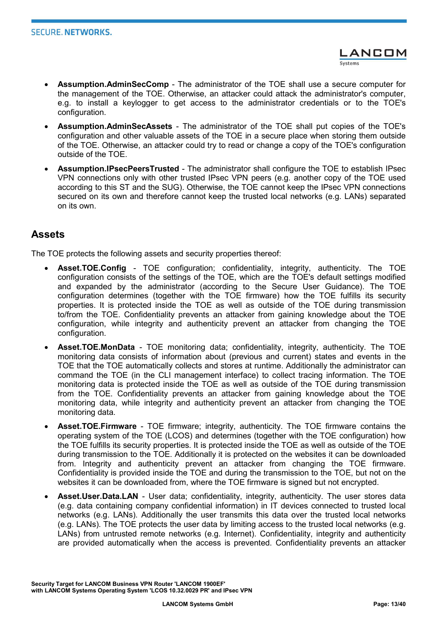- Assumption.AdminSecComp The administrator of the TOE shall use a secure computer for the management of the TOE. Otherwise, an attacker could attack the administrator's computer, e.g. to install a keylogger to get access to the administrator credentials or to the TOE's configuration.
- Assumption.AdminSecAssets The administrator of the TOE shall put copies of the TOE's configuration and other valuable assets of the TOE in a secure place when storing them outside of the TOE. Otherwise, an attacker could try to read or change a copy of the TOE's configuration outside of the TOE.
- Assumption.IPsecPeersTrusted The administrator shall configure the TOE to establish IPsec VPN connections only with other trusted IPsec VPN peers (e.g. another copy of the TOE used according to this ST and the SUG). Otherwise, the TOE cannot keep the IPsec VPN connections secured on its own and therefore cannot keep the trusted local networks (e.g. LANs) separated on its own.

#### Assets

The TOE protects the following assets and security properties thereof:

- Asset.TOE.Config TOE configuration; confidentiality, integrity, authenticity. The TOE configuration consists of the settings of the TOE, which are the TOE's default settings modified and expanded by the administrator (according to the Secure User Guidance). The TOE configuration determines (together with the TOE firmware) how the TOE fulfills its security properties. It is protected inside the TOE as well as outside of the TOE during transmission to/from the TOE. Confidentiality prevents an attacker from gaining knowledge about the TOE configuration, while integrity and authenticity prevent an attacker from changing the TOE configuration.
- Asset.TOE.MonData TOE monitoring data; confidentiality, integrity, authenticity. The TOE monitoring data consists of information about (previous and current) states and events in the TOE that the TOE automatically collects and stores at runtime. Additionally the administrator can command the TOE (in the CLI management interface) to collect tracing information. The TOE monitoring data is protected inside the TOE as well as outside of the TOE during transmission from the TOE. Confidentiality prevents an attacker from gaining knowledge about the TOE monitoring data, while integrity and authenticity prevent an attacker from changing the TOE monitoring data.
- Asset.TOE.Firmware TOE firmware; integrity, authenticity. The TOE firmware contains the operating system of the TOE (LCOS) and determines (together with the TOE configuration) how the TOE fulfills its security properties. It is protected inside the TOE as well as outside of the TOE during transmission to the TOE. Additionally it is protected on the websites it can be downloaded from. Integrity and authenticity prevent an attacker from changing the TOE firmware. Confidentiality is provided inside the TOE and during the transmission to the TOE, but not on the websites it can be downloaded from, where the TOE firmware is signed but not encrypted.
- Asset.User.Data.LAN User data; confidentiality, integrity, authenticity. The user stores data (e.g. data containing company confidential information) in IT devices connected to trusted local networks (e.g. LANs). Additionally the user transmits this data over the trusted local networks (e.g. LANs). The TOE protects the user data by limiting access to the trusted local networks (e.g. LANs) from untrusted remote networks (e.g. Internet). Confidentiality, integrity and authenticity are provided automatically when the access is prevented. Confidentiality prevents an attacker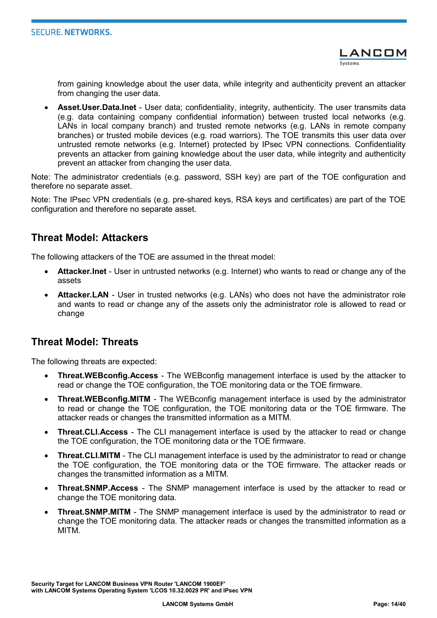from gaining knowledge about the user data, while integrity and authenticity prevent an attacker from changing the user data.

 Asset.User.Data.Inet - User data; confidentiality, integrity, authenticity. The user transmits data (e.g. data containing company confidential information) between trusted local networks (e.g. LANs in local company branch) and trusted remote networks (e.g. LANs in remote company branches) or trusted mobile devices (e.g. road warriors). The TOE transmits this user data over untrusted remote networks (e.g. Internet) protected by IPsec VPN connections. Confidentiality prevents an attacker from gaining knowledge about the user data, while integrity and authenticity prevent an attacker from changing the user data.

Note: The administrator credentials (e.g. password, SSH key) are part of the TOE configuration and therefore no separate asset.

Note: The IPsec VPN credentials (e.g. pre-shared keys, RSA keys and certificates) are part of the TOE configuration and therefore no separate asset.

#### Threat Model: Attackers

The following attackers of the TOE are assumed in the threat model:

- Attacker.Inet User in untrusted networks (e.g. Internet) who wants to read or change any of the assets
- Attacker.LAN User in trusted networks (e.g. LANs) who does not have the administrator role and wants to read or change any of the assets only the administrator role is allowed to read or change

#### Threat Model: Threats

The following threats are expected:

- Threat.WEBconfig.Access The WEBconfig management interface is used by the attacker to read or change the TOE configuration, the TOE monitoring data or the TOE firmware.
- Threat.WEBconfig.MITM The WEBconfig management interface is used by the administrator to read or change the TOE configuration, the TOE monitoring data or the TOE firmware. The attacker reads or changes the transmitted information as a MITM.
- Threat.CLI.Access The CLI management interface is used by the attacker to read or change the TOE configuration, the TOE monitoring data or the TOE firmware.
- Threat.CLI.MITM The CLI management interface is used by the administrator to read or change the TOE configuration, the TOE monitoring data or the TOE firmware. The attacker reads or changes the transmitted information as a MITM.
- Threat.SNMP.Access The SNMP management interface is used by the attacker to read or change the TOE monitoring data.
- Threat.SNMP.MITM The SNMP management interface is used by the administrator to read or change the TOE monitoring data. The attacker reads or changes the transmitted information as a MITM.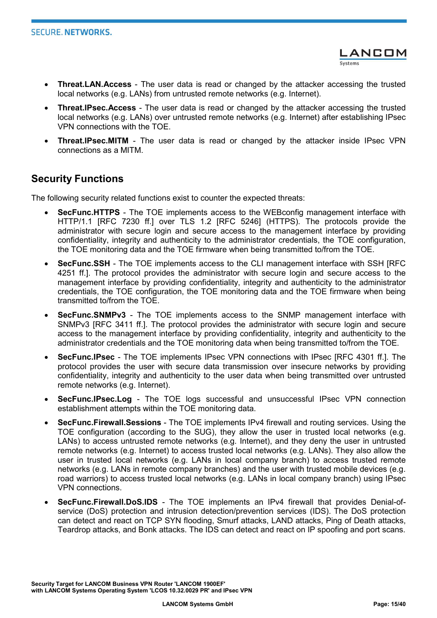- Threat.LAN.Access The user data is read or changed by the attacker accessing the trusted local networks (e.g. LANs) from untrusted remote networks (e.g. Internet).
- Threat.IPsec.Access The user data is read or changed by the attacker accessing the trusted local networks (e.g. LANs) over untrusted remote networks (e.g. Internet) after establishing IPsec VPN connections with the TOE.
- Threat.IPsec.MITM The user data is read or changed by the attacker inside IPsec VPN connections as a MITM.

#### Security Functions

The following security related functions exist to counter the expected threats:

- SecFunc.HTTPS The TOE implements access to the WEBconfig management interface with HTTP/1.1 [RFC 7230 ff.] over TLS 1.2 [RFC 5246] (HTTPS). The protocols provide the administrator with secure login and secure access to the management interface by providing confidentiality, integrity and authenticity to the administrator credentials, the TOE configuration, the TOE monitoring data and the TOE firmware when being transmitted to/from the TOE.
- SecFunc.SSH The TOE implements access to the CLI management interface with SSH [RFC 4251 ff.]. The protocol provides the administrator with secure login and secure access to the management interface by providing confidentiality, integrity and authenticity to the administrator credentials, the TOE configuration, the TOE monitoring data and the TOE firmware when being transmitted to/from the TOE.
- SecFunc.SNMPv3 The TOE implements access to the SNMP management interface with SNMPv3 [RFC 3411 ff.]. The protocol provides the administrator with secure login and secure access to the management interface by providing confidentiality, integrity and authenticity to the administrator credentials and the TOE monitoring data when being transmitted to/from the TOE.
- SecFunc.IPsec The TOE implements IPsec VPN connections with IPsec [RFC 4301 ff.]. The protocol provides the user with secure data transmission over insecure networks by providing confidentiality, integrity and authenticity to the user data when being transmitted over untrusted remote networks (e.g. Internet).
- SecFunc.IPsec.Log The TOE logs successful and unsuccessful IPsec VPN connection establishment attempts within the TOE monitoring data.
- SecFunc.Firewall.Sessions The TOE implements IPv4 firewall and routing services. Using the TOE configuration (according to the SUG), they allow the user in trusted local networks (e.g. LANs) to access untrusted remote networks (e.g. Internet), and they deny the user in untrusted remote networks (e.g. Internet) to access trusted local networks (e.g. LANs). They also allow the user in trusted local networks (e.g. LANs in local company branch) to access trusted remote networks (e.g. LANs in remote company branches) and the user with trusted mobile devices (e.g. road warriors) to access trusted local networks (e.g. LANs in local company branch) using IPsec VPN connections.
- SecFunc.Firewall.DoS.IDS The TOE implements an IPv4 firewall that provides Denial-ofservice (DoS) protection and intrusion detection/prevention services (IDS). The DoS protection can detect and react on TCP SYN flooding, Smurf attacks, LAND attacks, Ping of Death attacks, Teardrop attacks, and Bonk attacks. The IDS can detect and react on IP spoofing and port scans.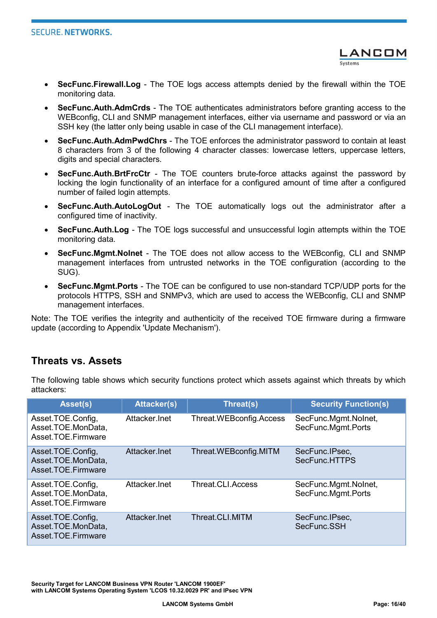- LANCOM
- SecFunc.Firewall.Log The TOE logs access attempts denied by the firewall within the TOE monitoring data.
- SecFunc.Auth.AdmCrds The TOE authenticates administrators before granting access to the WEBconfig, CLI and SNMP management interfaces, either via username and password or via an SSH key (the latter only being usable in case of the CLI management interface).
- SecFunc.Auth.AdmPwdChrs The TOE enforces the administrator password to contain at least 8 characters from 3 of the following 4 character classes: lowercase letters, uppercase letters, digits and special characters.
- SecFunc.Auth.BrtFrcCtr The TOE counters brute-force attacks against the password by locking the login functionality of an interface for a configured amount of time after a configured number of failed login attempts.
- SecFunc.Auth.AutoLogOut The TOE automatically logs out the administrator after a configured time of inactivity.
- SecFunc.Auth.Log The TOE logs successful and unsuccessful login attempts within the TOE monitoring data.
- SecFunc.Mgmt.NoInet The TOE does not allow access to the WEBconfig, CLI and SNMP management interfaces from untrusted networks in the TOE configuration (according to the SUG).
- SecFunc.Mgmt.Ports The TOE can be configured to use non-standard TCP/UDP ports for the protocols HTTPS, SSH and SNMPv3, which are used to access the WEBconfig, CLI and SNMP management interfaces.

Note: The TOE verifies the integrity and authenticity of the received TOE firmware during a firmware update (according to Appendix 'Update Mechanism').

#### Threats vs. Assets

The following table shows which security functions protect which assets against which threats by which attackers:

| Asset(s)                                                      | <b>Attacker(s)</b> | Threat(s)                | <b>Security Function(s)</b>                |
|---------------------------------------------------------------|--------------------|--------------------------|--------------------------------------------|
| Asset.TOE.Config,<br>Asset.TOE.MonData,<br>Asset.TOE.Firmware | Attacker.Inet      | Threat.WEBconfig.Access  | SecFunc.Mgmt.Nolnet,<br>SecFunc.Mgmt.Ports |
| Asset.TOE.Config,<br>Asset.TOE.MonData,<br>Asset.TOE.Firmware | Attacker.Inet      | Threat.WEBconfig.MITM    | SecFunc.IPsec,<br>SecFunc.HTTPS            |
| Asset.TOE.Config,<br>Asset.TOE.MonData,<br>Asset.TOE.Firmware | Attacker.Inet      | <b>Threat.CLI.Access</b> | SecFunc.Mgmt.Nolnet,<br>SecFunc.Mgmt.Ports |
| Asset.TOE.Config,<br>Asset.TOE.MonData,<br>Asset.TOE.Firmware | Attacker Inet      | Threat.CLI.MITM          | SecFunc.IPsec,<br>SecFunc.SSH              |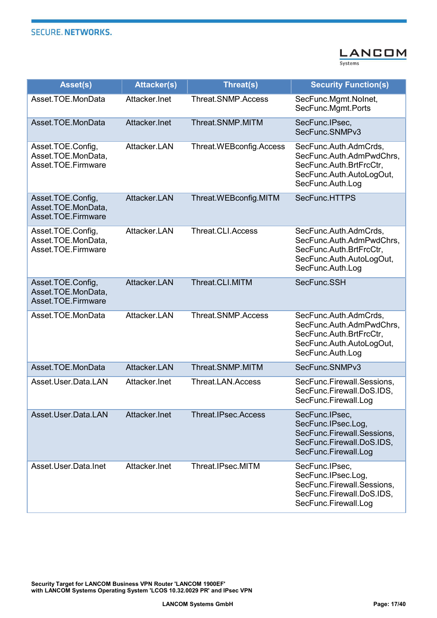

| Asset(s)                                                      | <b>Attacker(s)</b> | Threat(s)                | <b>Security Function(s)</b>                                                                                                  |
|---------------------------------------------------------------|--------------------|--------------------------|------------------------------------------------------------------------------------------------------------------------------|
| Asset.TOE.MonData                                             | Attacker.Inet      | Threat.SNMP.Access       | SecFunc.Mgmt.Nolnet,<br>SecFunc.Mgmt.Ports                                                                                   |
| Asset.TOE.MonData                                             | Attacker.Inet      | Threat.SNMP.MITM         | SecFunc.IPsec.<br>SecFunc.SNMPv3                                                                                             |
| Asset.TOE.Config,<br>Asset.TOE.MonData,<br>Asset.TOE.Firmware | Attacker.LAN       | Threat.WEBconfig.Access  | SecFunc.Auth.AdmCrds,<br>SecFunc.Auth.AdmPwdChrs,<br>SecFunc.Auth.BrtFrcCtr,<br>SecFunc.Auth.AutoLogOut,<br>SecFunc.Auth.Log |
| Asset.TOE.Config,<br>Asset.TOE.MonData,<br>Asset.TOE.Firmware | Attacker.LAN       | Threat.WEBconfig.MITM    | SecFunc.HTTPS                                                                                                                |
| Asset.TOE.Config,<br>Asset.TOE.MonData,<br>Asset.TOE.Firmware | Attacker.LAN       | <b>Threat.CLI.Access</b> | SecFunc.Auth.AdmCrds,<br>SecFunc.Auth.AdmPwdChrs.<br>SecFunc.Auth.BrtFrcCtr,<br>SecFunc.Auth.AutoLogOut,<br>SecFunc.Auth.Log |
| Asset.TOE.Config,<br>Asset.TOE.MonData,<br>Asset.TOE.Firmware | Attacker.LAN       | Threat.CLI.MITM          | SecFunc.SSH                                                                                                                  |
| Asset.TOE.MonData                                             | Attacker.LAN       | Threat.SNMP.Access       | SecFunc.Auth.AdmCrds,<br>SecFunc.Auth.AdmPwdChrs.<br>SecFunc.Auth.BrtFrcCtr,<br>SecFunc.Auth.AutoLogOut,<br>SecFunc.Auth.Log |
| Asset.TOE.MonData                                             | Attacker.LAN       | Threat.SNMP.MITM         | SecFunc.SNMPv3                                                                                                               |
| Asset.User.Data.LAN                                           | Attacker.Inet      | <b>Threat.LAN.Access</b> | SecFunc.Firewall.Sessions,<br>SecFunc.Firewall.DoS.IDS,<br>SecFunc.Firewall.Log                                              |
| Asset.User.Data.LAN                                           | Attacker.Inet      | Threat.IPsec.Access      | SecFunc.IPsec,<br>SecFunc.IPsec.Log,<br>SecFunc.Firewall.Sessions,<br>SecFunc.Firewall.DoS.IDS,<br>SecFunc.Firewall.Log      |
| Asset.User.Data.Inet                                          | Attacker.Inet      | Threat.IPsec.MITM        | SecFunc.IPsec,<br>SecFunc.IPsec.Log,<br>SecFunc.Firewall.Sessions,<br>SecFunc.Firewall.DoS.IDS,<br>SecFunc.Firewall.Log      |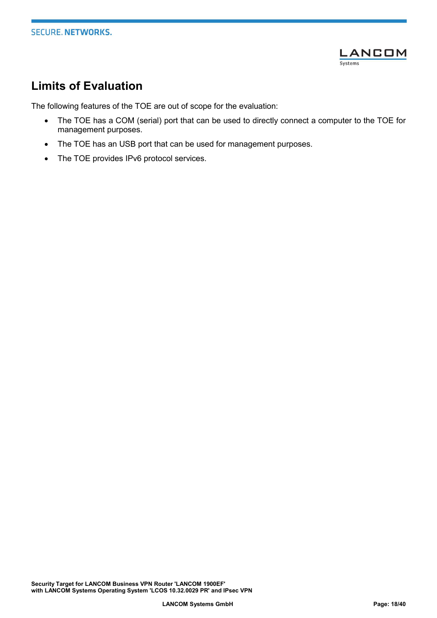

# Limits of Evaluation

The following features of the TOE are out of scope for the evaluation:

- The TOE has a COM (serial) port that can be used to directly connect a computer to the TOE for management purposes.
- The TOE has an USB port that can be used for management purposes.
- The TOE provides IPv6 protocol services.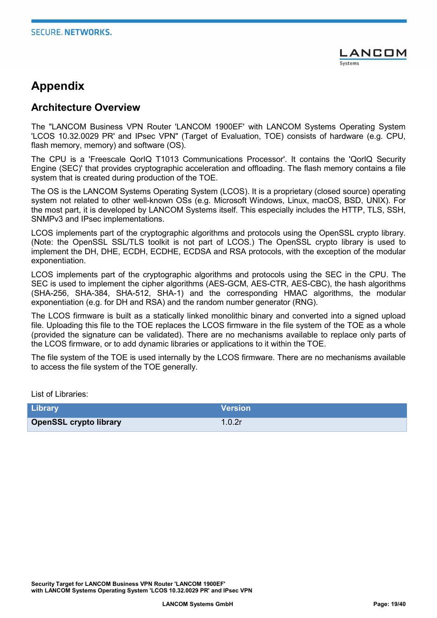

# Appendix

#### Architecture Overview

The "LANCOM Business VPN Router 'LANCOM 1900EF' with LANCOM Systems Operating System 'LCOS 10.32.0029 PR' and IPsec VPN" (Target of Evaluation, TOE) consists of hardware (e.g. CPU, flash memory, memory) and software (OS).

The CPU is a 'Freescale QorIQ T1013 Communications Processor'. It contains the 'QorIQ Security Engine (SEC)' that provides cryptographic acceleration and offloading. The flash memory contains a file system that is created during production of the TOE.

The OS is the LANCOM Systems Operating System (LCOS). It is a proprietary (closed source) operating system not related to other well-known OSs (e.g. Microsoft Windows, Linux, macOS, BSD, UNIX). For the most part, it is developed by LANCOM Systems itself. This especially includes the HTTP, TLS, SSH, SNMPv3 and IPsec implementations.

LCOS implements part of the cryptographic algorithms and protocols using the OpenSSL crypto library. (Note: the OpenSSL SSL/TLS toolkit is not part of LCOS.) The OpenSSL crypto library is used to implement the DH, DHE, ECDH, ECDHE, ECDSA and RSA protocols, with the exception of the modular exponentiation.

LCOS implements part of the cryptographic algorithms and protocols using the SEC in the CPU. The SEC is used to implement the cipher algorithms (AES-GCM, AES-CTR, AES-CBC), the hash algorithms (SHA-256, SHA-384, SHA-512, SHA-1) and the corresponding HMAC algorithms, the modular exponentiation (e.g. for DH and RSA) and the random number generator (RNG).

The LCOS firmware is built as a statically linked monolithic binary and converted into a signed upload file. Uploading this file to the TOE replaces the LCOS firmware in the file system of the TOE as a whole (provided the signature can be validated). There are no mechanisms available to replace only parts of the LCOS firmware, or to add dynamic libraries or applications to it within the TOE.

The file system of the TOE is used internally by the LCOS firmware. There are no mechanisms available to access the file system of the TOE generally.

List of Libraries:

| <b>Library</b>                | <b>Version</b> |
|-------------------------------|----------------|
| <b>OpenSSL crypto library</b> | 1.0.2r         |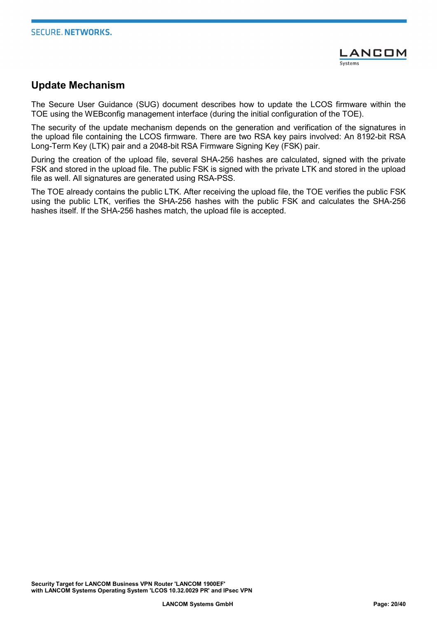

#### Update Mechanism

The Secure User Guidance (SUG) document describes how to update the LCOS firmware within the TOE using the WEBconfig management interface (during the initial configuration of the TOE).

The security of the update mechanism depends on the generation and verification of the signatures in the upload file containing the LCOS firmware. There are two RSA key pairs involved: An 8192-bit RSA Long-Term Key (LTK) pair and a 2048-bit RSA Firmware Signing Key (FSK) pair.

During the creation of the upload file, several SHA-256 hashes are calculated, signed with the private FSK and stored in the upload file. The public FSK is signed with the private LTK and stored in the upload file as well. All signatures are generated using RSA-PSS.

The TOE already contains the public LTK. After receiving the upload file, the TOE verifies the public FSK using the public LTK, verifies the SHA-256 hashes with the public FSK and calculates the SHA-256 hashes itself. If the SHA-256 hashes match, the upload file is accepted.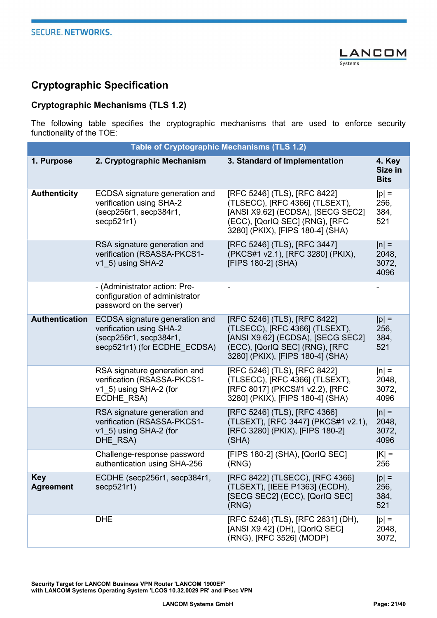

# Cryptographic Specification

#### Cryptographic Mechanisms (TLS 1.2)

The following table specifies the cryptographic mechanisms that are used to enforce security functionality of the TOE:

|                                | <b>Table of Cryptographic Mechanisms (TLS 1.2)</b>                                                                   |                                                                                                                                                                           |                                   |
|--------------------------------|----------------------------------------------------------------------------------------------------------------------|---------------------------------------------------------------------------------------------------------------------------------------------------------------------------|-----------------------------------|
| 1. Purpose                     | 2. Cryptographic Mechanism                                                                                           | 3. Standard of Implementation                                                                                                                                             | 4. Key<br>Size in<br><b>Bits</b>  |
| <b>Authenticity</b>            | ECDSA signature generation and<br>verification using SHA-2<br>(secp256r1, secp384r1,<br>secp521r1)                   | [RFC 5246] (TLS), [RFC 8422]<br>(TLSECC), [RFC 4366] (TLSEXT),<br>[ANSI X9.62] (ECDSA), [SECG SEC2]<br>(ECC), [QorIQ SEC] (RNG), [RFC<br>3280] (PKIX), [FIPS 180-4] (SHA) | $ p  =$<br>256,<br>384,<br>521    |
|                                | RSA signature generation and<br>verification (RSASSA-PKCS1-<br>v1 5) using SHA-2                                     | [RFC 5246] (TLS), [RFC 3447]<br>(PKCS#1 v2.1), [RFC 3280] (PKIX),<br>[FIPS 180-2] (SHA)                                                                                   | $ n  =$<br>2048,<br>3072,<br>4096 |
|                                | - (Administrator action: Pre-<br>configuration of administrator<br>password on the server)                           |                                                                                                                                                                           |                                   |
| Authentication                 | ECDSA signature generation and<br>verification using SHA-2<br>(secp256r1, secp384r1,<br>secp521r1) (for ECDHE ECDSA) | [RFC 5246] (TLS), [RFC 8422]<br>(TLSECC), [RFC 4366] (TLSEXT),<br>[ANSI X9.62] (ECDSA), [SECG SEC2]<br>(ECC), [QorlQ SEC] (RNG), [RFC<br>3280] (PKIX), [FIPS 180-4] (SHA) | $ p  =$<br>256,<br>384,<br>521    |
|                                | RSA signature generation and<br>verification (RSASSA-PKCS1-<br>v1 5) using SHA-2 (for<br>ECDHE RSA)                  | [RFC 5246] (TLS), [RFC 8422]<br>(TLSECC), [RFC 4366] (TLSEXT),<br>[RFC 8017] (PKCS#1 v2.2), [RFC<br>3280] (PKIX), [FIPS 180-4] (SHA)                                      | $ n  =$<br>2048,<br>3072,<br>4096 |
|                                | RSA signature generation and<br>verification (RSASSA-PKCS1-<br>v1 5) using SHA-2 (for<br>DHE RSA)                    | [RFC 5246] (TLS), [RFC 4366]<br>(TLSEXT), [RFC 3447] (PKCS#1 v2.1),<br>[RFC 3280] (PKIX), [FIPS 180-2]<br>(SHA)                                                           | $ n $ =<br>2048,<br>3072,<br>4096 |
|                                | Challenge-response password<br>authentication using SHA-256                                                          | [FIPS 180-2] (SHA), [QorlQ SEC]<br>(RNG)                                                                                                                                  | $ K  =$<br>256                    |
| <b>Key</b><br><b>Agreement</b> | ECDHE (secp256r1, secp384r1,<br>secp521r1)                                                                           | [RFC 8422] (TLSECC), [RFC 4366]<br>(TLSEXT), [IEEE P1363] (ECDH),<br>[SECG SEC2] (ECC), [QorlQ SEC]<br>(RNG)                                                              | $ p  =$<br>256,<br>384,<br>521    |
|                                | <b>DHE</b>                                                                                                           | [RFC 5246] (TLS), [RFC 2631] (DH),<br>[ANSI X9.42] (DH), [QorIQ SEC]<br>(RNG), [RFC 3526] (MODP)                                                                          | $ p  =$<br>2048,<br>3072,         |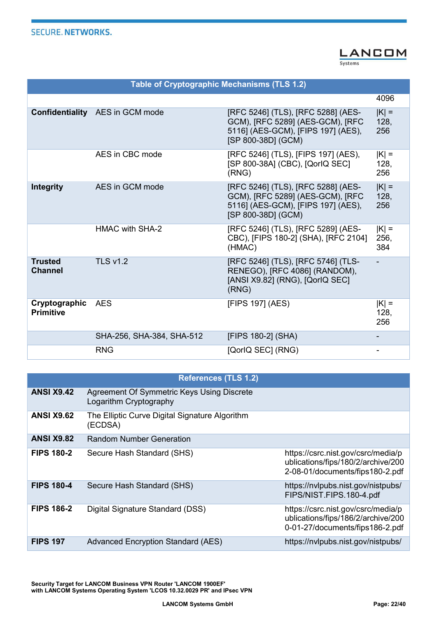

Table of Cryptographic Mechanisms (TLS 1.2) 4096 Confidentiality AES in GCM mode [RFC 5246] (TLS), [RFC 5288] (AES-GCM), [RFC 5289] (AES-GCM), [RFC 5116] (AES-GCM), [FIPS 197] (AES), [SP 800-38D] (GCM)  $|K| =$ 128, 256 AES in CBC mode [RFC 5246] (TLS), [FIPS 197] (AES), [SP 800-38A] (CBC), [QorIQ SEC] (RNG)  $|K|$  = 128, 256 Integrity AES in GCM mode [RFC 5246] (TLS), [RFC 5288] (AES-GCM), [RFC 5289] (AES-GCM), [RFC 5116] (AES-GCM), [FIPS 197] (AES), [SP 800-38D] (GCM)  $|K|$  = 128, 256 HMAC with SHA-2 [RFC 5246] (TLS), [RFC 5289] (AES-CBC), [FIPS 180-2] (SHA), [RFC 2104] (HMAC)  $|K|$  = 256, 384 **Trusted** Channel TLS v1.2 [RFC 5246] (TLS), [RFC 5746] (TLS-RENEGO), [RFC 4086] (RANDOM), [ANSI X9.82] (RNG), [QorIQ SEC] (RNG) - Cryptographic **Primitive**  $AES$  [FIPS 197] (AES)  $|K| =$ 128, 256 SHA-256, SHA-384, SHA-512 [FIPS 180-2] (SHA) - 256, SHA-384, SHA-512 RNG **EXAMPLE 2001** [QorIQ SEC] (RNG) **-**

|                   | <b>References (TLS 1.2)</b>                                          |                                                                                                             |
|-------------------|----------------------------------------------------------------------|-------------------------------------------------------------------------------------------------------------|
| <b>ANSI X9.42</b> | Agreement Of Symmetric Keys Using Discrete<br>Logarithm Cryptography |                                                                                                             |
| <b>ANSI X9.62</b> | The Elliptic Curve Digital Signature Algorithm<br>(ECDSA)            |                                                                                                             |
| <b>ANSI X9.82</b> | <b>Random Number Generation</b>                                      |                                                                                                             |
| <b>FIPS 180-2</b> | Secure Hash Standard (SHS)                                           | https://csrc.nist.gov/csrc/media/p<br>ublications/fips/180/2/archive/200<br>2-08-01/documents/fips180-2.pdf |
| <b>FIPS 180-4</b> | Secure Hash Standard (SHS)                                           | https://nvlpubs.nist.gov/nistpubs/<br>FIPS/NIST.FIPS.180-4.pdf                                              |
| <b>FIPS 186-2</b> | Digital Signature Standard (DSS)                                     | https://csrc.nist.gov/csrc/media/p<br>ublications/fips/186/2/archive/200<br>0-01-27/documents/fips186-2.pdf |
| <b>FIPS 197</b>   | <b>Advanced Encryption Standard (AES)</b>                            | https://nvlpubs.nist.gov/nistpubs/                                                                          |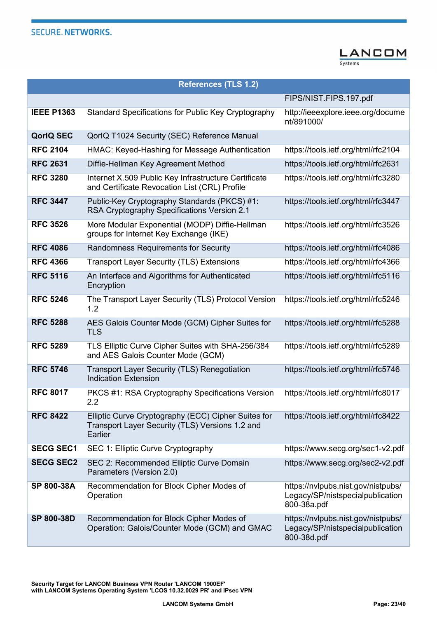

|                   | <b>References (TLS 1.2)</b>                                                                                       |                                                                                       |
|-------------------|-------------------------------------------------------------------------------------------------------------------|---------------------------------------------------------------------------------------|
|                   |                                                                                                                   | FIPS/NIST.FIPS.197.pdf                                                                |
| <b>IEEE P1363</b> | Standard Specifications for Public Key Cryptography                                                               | http://ieeexplore.ieee.org/docume<br>nt/891000/                                       |
| <b>QorlQ SEC</b>  | QorlQ T1024 Security (SEC) Reference Manual                                                                       |                                                                                       |
| <b>RFC 2104</b>   | HMAC: Keyed-Hashing for Message Authentication                                                                    | https://tools.ietf.org/html/rfc2104                                                   |
| <b>RFC 2631</b>   | Diffie-Hellman Key Agreement Method                                                                               | https://tools.ietf.org/html/rfc2631                                                   |
| <b>RFC 3280</b>   | Internet X.509 Public Key Infrastructure Certificate<br>and Certificate Revocation List (CRL) Profile             | https://tools.ietf.org/html/rfc3280                                                   |
| <b>RFC 3447</b>   | Public-Key Cryptography Standards (PKCS) #1:<br>RSA Cryptography Specifications Version 2.1                       | https://tools.ietf.org/html/rfc3447                                                   |
| <b>RFC 3526</b>   | More Modular Exponential (MODP) Diffie-Hellman<br>groups for Internet Key Exchange (IKE)                          | https://tools.ietf.org/html/rfc3526                                                   |
| <b>RFC 4086</b>   | <b>Randomness Requirements for Security</b>                                                                       | https://tools.ietf.org/html/rfc4086                                                   |
| <b>RFC 4366</b>   | <b>Transport Layer Security (TLS) Extensions</b>                                                                  | https://tools.ietf.org/html/rfc4366                                                   |
| <b>RFC 5116</b>   | An Interface and Algorithms for Authenticated<br>Encryption                                                       | https://tools.ietf.org/html/rfc5116                                                   |
| <b>RFC 5246</b>   | The Transport Layer Security (TLS) Protocol Version<br>1.2                                                        | https://tools.ietf.org/html/rfc5246                                                   |
| <b>RFC 5288</b>   | AES Galois Counter Mode (GCM) Cipher Suites for<br><b>TLS</b>                                                     | https://tools.ietf.org/html/rfc5288                                                   |
| <b>RFC 5289</b>   | TLS Elliptic Curve Cipher Suites with SHA-256/384<br>and AES Galois Counter Mode (GCM)                            | https://tools.ietf.org/html/rfc5289                                                   |
| <b>RFC 5746</b>   | <b>Transport Layer Security (TLS) Renegotiation</b><br><b>Indication Extension</b>                                | https://tools.ietf.org/html/rfc5746                                                   |
| <b>RFC 8017</b>   | PKCS #1: RSA Cryptography Specifications Version<br>$2.2\,$                                                       | https://tools.ietf.org/html/rfc8017                                                   |
| <b>RFC 8422</b>   | Elliptic Curve Cryptography (ECC) Cipher Suites for<br>Transport Layer Security (TLS) Versions 1.2 and<br>Earlier | https://tools.ietf.org/html/rfc8422                                                   |
| <b>SECG SEC1</b>  | SEC 1: Elliptic Curve Cryptography                                                                                | https://www.secg.org/sec1-v2.pdf                                                      |
| <b>SECG SEC2</b>  | SEC 2: Recommended Elliptic Curve Domain<br>Parameters (Version 2.0)                                              | https://www.secg.org/sec2-v2.pdf                                                      |
| SP 800-38A        | Recommendation for Block Cipher Modes of<br>Operation                                                             | https://nvlpubs.nist.gov/nistpubs/<br>Legacy/SP/nistspecialpublication<br>800-38a.pdf |
| SP 800-38D        | Recommendation for Block Cipher Modes of<br>Operation: Galois/Counter Mode (GCM) and GMAC                         | https://nvlpubs.nist.gov/nistpubs/<br>Legacy/SP/nistspecialpublication<br>800-38d.pdf |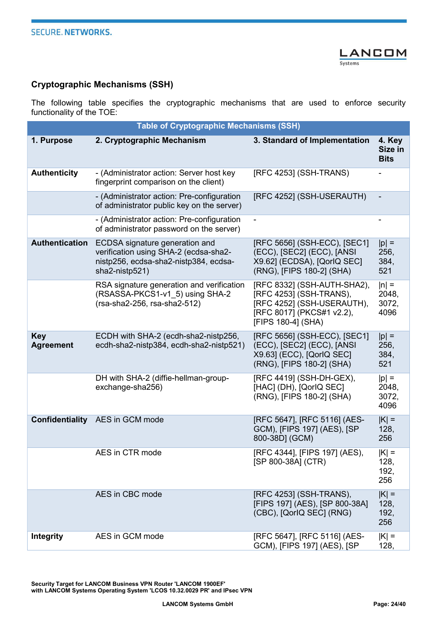

#### Cryptographic Mechanisms (SSH)

The following table specifies the cryptographic mechanisms that are used to enforce security functionality of the TOE:

| <b>Table of Cryptographic Mechanisms (SSH)</b> |                                                                                                                                    |                                                                                                                                         |                                   |
|------------------------------------------------|------------------------------------------------------------------------------------------------------------------------------------|-----------------------------------------------------------------------------------------------------------------------------------------|-----------------------------------|
| 1. Purpose                                     | 2. Cryptographic Mechanism                                                                                                         | 3. Standard of Implementation                                                                                                           | 4. Key<br>Size in<br><b>Bits</b>  |
| <b>Authenticity</b>                            | - (Administrator action: Server host key<br>fingerprint comparison on the client)                                                  | [RFC 4253] (SSH-TRANS)                                                                                                                  |                                   |
|                                                | - (Administrator action: Pre-configuration<br>of administrator public key on the server)                                           | [RFC 4252] (SSH-USERAUTH)                                                                                                               |                                   |
|                                                | - (Administrator action: Pre-configuration<br>of administrator password on the server)                                             | $\blacksquare$                                                                                                                          |                                   |
| <b>Authentication</b>                          | ECDSA signature generation and<br>verification using SHA-2 (ecdsa-sha2-<br>nistp256, ecdsa-sha2-nistp384, ecdsa-<br>sha2-nistp521) | [RFC 5656] (SSH-ECC), [SEC1]<br>(ECC), [SEC2] (ECC), [ANSI<br>X9.62] (ECDSA), [QorlQ SEC]<br>(RNG), [FIPS 180-2] (SHA)                  | $ p  =$<br>256,<br>384,<br>521    |
|                                                | RSA signature generation and verification<br>(RSASSA-PKCS1-v1 5) using SHA-2<br>(rsa-sha2-256, rsa-sha2-512)                       | [RFC 8332] (SSH-AUTH-SHA2),<br>[RFC 4253] (SSH-TRANS),<br>[RFC 4252] (SSH-USERAUTH),<br>[RFC 8017] (PKCS#1 v2.2),<br>[FIPS 180-4] (SHA) | $ n $ =<br>2048,<br>3072,<br>4096 |
| <b>Key</b><br><b>Agreement</b>                 | ECDH with SHA-2 (ecdh-sha2-nistp256,<br>ecdh-sha2-nistp384, ecdh-sha2-nistp521)                                                    | [RFC 5656] (SSH-ECC), [SEC1]<br>(ECC), [SEC2] (ECC), [ANSI<br>X9.63] (ECC), [QorlQ SEC]<br>(RNG), [FIPS 180-2] (SHA)                    | $ p $ =<br>256,<br>384,<br>521    |
|                                                | DH with SHA-2 (diffie-hellman-group-<br>exchange-sha256)                                                                           | [RFC 4419] (SSH-DH-GEX),<br>[HAC] (DH), [QorlQ SEC]<br>(RNG), [FIPS 180-2] (SHA)                                                        | $ p  =$<br>2048,<br>3072,<br>4096 |
|                                                | <b>Confidentiality</b> AES in GCM mode                                                                                             | [RFC 5647], [RFC 5116] (AES-<br>GCM), [FIPS 197] (AES), [SP<br>800-38D] (GCM)                                                           | $ K  =$<br>128,<br>256            |
|                                                | AES in CTR mode                                                                                                                    | [RFC 4344], [FIPS 197] (AES),<br>[SP 800-38A] (CTR)                                                                                     | $ K $ =<br>128,<br>192,<br>256    |
|                                                | AES in CBC mode                                                                                                                    | [RFC 4253] (SSH-TRANS),<br>[FIPS 197] (AES), [SP 800-38A]<br>(CBC), [QorlQ SEC] (RNG)                                                   | $ K  =$<br>128,<br>192,<br>256    |
| <b>Integrity</b>                               | AES in GCM mode                                                                                                                    | [RFC 5647], [RFC 5116] (AES-<br>GCM), [FIPS 197] (AES), [SP                                                                             | $ K $ =<br>128,                   |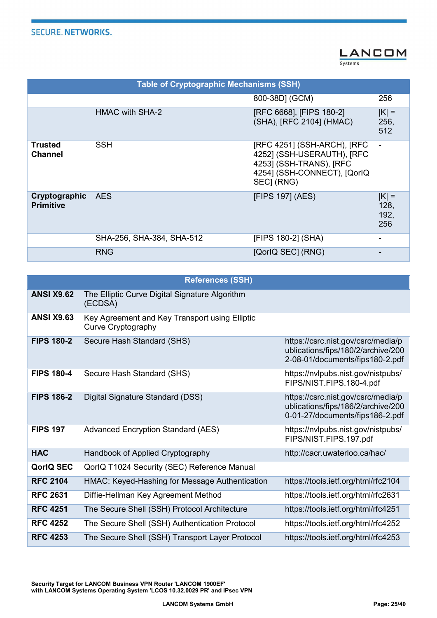

Table of Cryptographic Mechanisms (SSH) 800-38D] (GCM) 256 HMAC with SHA-2 [RFC 6668], [FIPS 180-2] (SHA), [RFC 2104] (HMAC)  $|K| =$ 256, 512 **Trusted** Channel SSH [RFC 4251] (SSH-ARCH), [RFC 4252] (SSH-USERAUTH), [RFC 4253] (SSH-TRANS), [RFC 4254] (SSH-CONNECT), [QorIQ SEC] (RNG) - Cryptographic **Primitive** AES [FIPS 197] (AES) |K| = 128, 192, 256 SHA-256, SHA-384, SHA-512 [FIPS 180-2] (SHA) -RNG [QorIQ SEC] (RNG) -

|                   | <b>References (SSH)</b>                                                     |                                                                                                             |
|-------------------|-----------------------------------------------------------------------------|-------------------------------------------------------------------------------------------------------------|
| <b>ANSI X9.62</b> | The Elliptic Curve Digital Signature Algorithm<br>(ECDSA)                   |                                                                                                             |
| <b>ANSI X9.63</b> | Key Agreement and Key Transport using Elliptic<br><b>Curve Cryptography</b> |                                                                                                             |
| <b>FIPS 180-2</b> | Secure Hash Standard (SHS)                                                  | https://csrc.nist.gov/csrc/media/p<br>ublications/fips/180/2/archive/200<br>2-08-01/documents/fips180-2.pdf |
| <b>FIPS 180-4</b> | Secure Hash Standard (SHS)                                                  | https://nvlpubs.nist.gov/nistpubs/<br>FIPS/NIST.FIPS.180-4.pdf                                              |
| <b>FIPS 186-2</b> | Digital Signature Standard (DSS)                                            | https://csrc.nist.gov/csrc/media/p<br>ublications/fips/186/2/archive/200<br>0-01-27/documents/fips186-2.pdf |
| <b>FIPS 197</b>   | <b>Advanced Encryption Standard (AES)</b>                                   | https://nvlpubs.nist.gov/nistpubs/<br>FIPS/NIST.FIPS.197.pdf                                                |
| <b>HAC</b>        | Handbook of Applied Cryptography                                            | http://cacr.uwaterloo.ca/hac/                                                                               |
| <b>QorlQ SEC</b>  | QorlQ T1024 Security (SEC) Reference Manual                                 |                                                                                                             |
| <b>RFC 2104</b>   | HMAC: Keyed-Hashing for Message Authentication                              | https://tools.ietf.org/html/rfc2104                                                                         |
| <b>RFC 2631</b>   | Diffie-Hellman Key Agreement Method                                         | https://tools.ietf.org/html/rfc2631                                                                         |
| <b>RFC 4251</b>   | The Secure Shell (SSH) Protocol Architecture                                | https://tools.ietf.org/html/rfc4251                                                                         |
| <b>RFC 4252</b>   | The Secure Shell (SSH) Authentication Protocol                              | https://tools.ietf.org/html/rfc4252                                                                         |
| <b>RFC 4253</b>   | The Secure Shell (SSH) Transport Layer Protocol                             | https://tools.ietf.org/html/rfc4253                                                                         |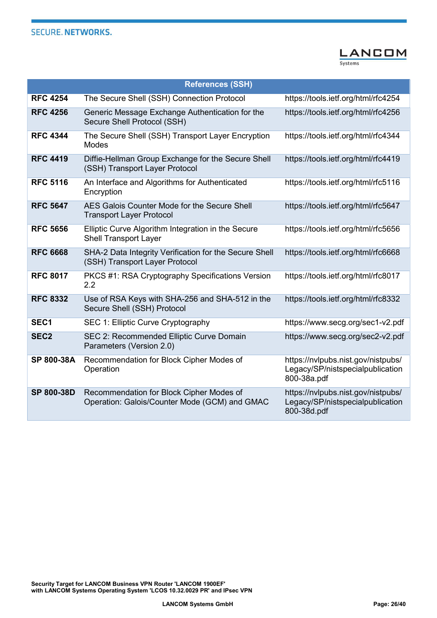

|                   | <b>References (SSH)</b>                                                                   |                                                                                       |
|-------------------|-------------------------------------------------------------------------------------------|---------------------------------------------------------------------------------------|
| <b>RFC 4254</b>   | The Secure Shell (SSH) Connection Protocol                                                | https://tools.ietf.org/html/rfc4254                                                   |
| <b>RFC 4256</b>   | Generic Message Exchange Authentication for the<br>Secure Shell Protocol (SSH)            | https://tools.ietf.org/html/rfc4256                                                   |
| <b>RFC 4344</b>   | The Secure Shell (SSH) Transport Layer Encryption<br><b>Modes</b>                         | https://tools.ietf.org/html/rfc4344                                                   |
| <b>RFC 4419</b>   | Diffie-Hellman Group Exchange for the Secure Shell<br>(SSH) Transport Layer Protocol      | https://tools.ietf.org/html/rfc4419                                                   |
| <b>RFC 5116</b>   | An Interface and Algorithms for Authenticated<br>Encryption                               | https://tools.ietf.org/html/rfc5116                                                   |
| <b>RFC 5647</b>   | AES Galois Counter Mode for the Secure Shell<br><b>Transport Layer Protocol</b>           | https://tools.ietf.org/html/rfc5647                                                   |
| <b>RFC 5656</b>   | Elliptic Curve Algorithm Integration in the Secure<br><b>Shell Transport Layer</b>        | https://tools.ietf.org/html/rfc5656                                                   |
| <b>RFC 6668</b>   | SHA-2 Data Integrity Verification for the Secure Shell<br>(SSH) Transport Layer Protocol  | https://tools.ietf.org/html/rfc6668                                                   |
| <b>RFC 8017</b>   | PKCS #1: RSA Cryptography Specifications Version<br>2.2                                   | https://tools.ietf.org/html/rfc8017                                                   |
| <b>RFC 8332</b>   | Use of RSA Keys with SHA-256 and SHA-512 in the<br>Secure Shell (SSH) Protocol            | https://tools.ietf.org/html/rfc8332                                                   |
| SEC1              | SEC 1: Elliptic Curve Cryptography                                                        | https://www.secg.org/sec1-v2.pdf                                                      |
| SEC <sub>2</sub>  | SEC 2: Recommended Elliptic Curve Domain<br>Parameters (Version 2.0)                      | https://www.secg.org/sec2-v2.pdf                                                      |
| SP 800-38A        | Recommendation for Block Cipher Modes of<br>Operation                                     | https://nvlpubs.nist.gov/nistpubs/<br>Legacy/SP/nistspecialpublication<br>800-38a.pdf |
| <b>SP 800-38D</b> | Recommendation for Block Cipher Modes of<br>Operation: Galois/Counter Mode (GCM) and GMAC | https://nvlpubs.nist.gov/nistpubs/<br>Legacy/SP/nistspecialpublication<br>800-38d.pdf |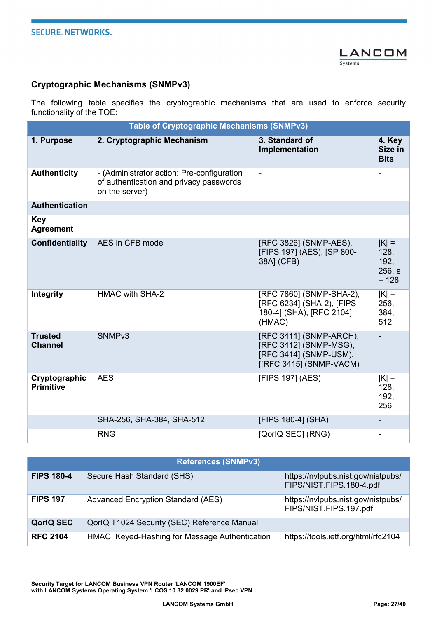

#### Cryptographic Mechanisms (SNMPv3)

The following table specifies the cryptographic mechanisms that are used to enforce security functionality of the TOE:

| <b>Table of Cryptographic Mechanisms (SNMPv3)</b> |                                                                                                         |                                                                                                        |                                              |
|---------------------------------------------------|---------------------------------------------------------------------------------------------------------|--------------------------------------------------------------------------------------------------------|----------------------------------------------|
| 1. Purpose                                        | 2. Cryptographic Mechanism                                                                              | 3. Standard of<br>Implementation                                                                       | 4. Key<br>Size in<br><b>Bits</b>             |
| <b>Authenticity</b>                               | - (Administrator action: Pre-configuration<br>of authentication and privacy passwords<br>on the server) | $\blacksquare$                                                                                         |                                              |
| <b>Authentication</b>                             |                                                                                                         |                                                                                                        |                                              |
| <b>Key</b><br><b>Agreement</b>                    |                                                                                                         |                                                                                                        |                                              |
| Confidentiality                                   | AES in CFB mode                                                                                         | [RFC 3826] (SNMP-AES),<br>[FIPS 197] (AES), [SP 800-<br>38A] (CFB)                                     | $ K $ =<br>128,<br>192,<br>256, s<br>$= 128$ |
| Integrity                                         | <b>HMAC with SHA-2</b>                                                                                  | [RFC 7860] (SNMP-SHA-2),<br>[RFC 6234] (SHA-2), [FIPS<br>180-4] (SHA), [RFC 2104]<br>(HMAC)            | $ K $ =<br>256,<br>384,<br>512               |
| <b>Trusted</b><br><b>Channel</b>                  | SNMP <sub>v3</sub>                                                                                      | [RFC 3411] (SNMP-ARCH),<br>[RFC 3412] (SNMP-MSG),<br>[RFC 3414] (SNMP-USM),<br>[[RFC 3415] (SNMP-VACM) |                                              |
| Cryptographic<br><b>Primitive</b>                 | <b>AES</b>                                                                                              | [FIPS 197] (AES)                                                                                       | $ K $ =<br>128,<br>192,<br>256               |
|                                                   | SHA-256, SHA-384, SHA-512                                                                               | [FIPS 180-4] (SHA)                                                                                     |                                              |
|                                                   | <b>RNG</b>                                                                                              | [QorlQ SEC] (RNG)                                                                                      |                                              |

| <b>References (SNMPv3)</b> |                                                |                                                                |
|----------------------------|------------------------------------------------|----------------------------------------------------------------|
| <b>FIPS 180-4</b>          | Secure Hash Standard (SHS)                     | https://nvlpubs.nist.gov/nistpubs/<br>FIPS/NIST.FIPS.180-4.pdf |
| <b>FIPS 197</b>            | <b>Advanced Encryption Standard (AES)</b>      | https://nvlpubs.nist.gov/nistpubs/<br>FIPS/NIST.FIPS.197.pdf   |
| <b>QorlQ SEC</b>           | QorlQ T1024 Security (SEC) Reference Manual    |                                                                |
| <b>RFC 2104</b>            | HMAC: Keyed-Hashing for Message Authentication | https://tools.ietf.org/html/rfc2104                            |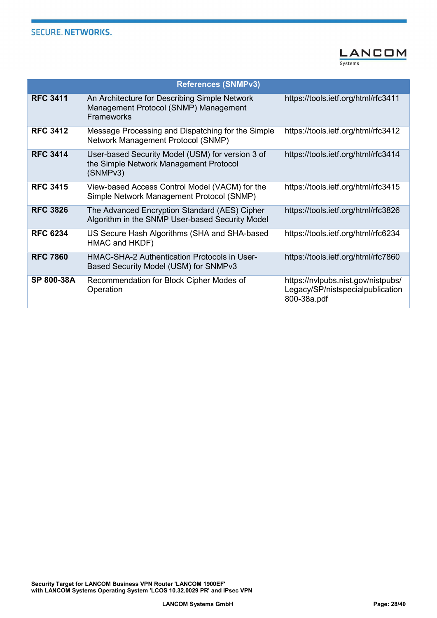

|                 | <b>References (SNMPv3)</b>                                                                                  |                                                                                       |
|-----------------|-------------------------------------------------------------------------------------------------------------|---------------------------------------------------------------------------------------|
| <b>RFC 3411</b> | An Architecture for Describing Simple Network<br>Management Protocol (SNMP) Management<br><b>Frameworks</b> | https://tools.ietf.org/html/rfc3411                                                   |
| <b>RFC 3412</b> | Message Processing and Dispatching for the Simple<br>Network Management Protocol (SNMP)                     | https://tools.ietf.org/html/rfc3412                                                   |
| <b>RFC 3414</b> | User-based Security Model (USM) for version 3 of<br>the Simple Network Management Protocol<br>(SNMPv3)      | https://tools.ietf.org/html/rfc3414                                                   |
| <b>RFC 3415</b> | View-based Access Control Model (VACM) for the<br>Simple Network Management Protocol (SNMP)                 | https://tools.ietf.org/html/rfc3415                                                   |
| <b>RFC 3826</b> | The Advanced Encryption Standard (AES) Cipher<br>Algorithm in the SNMP User-based Security Model            | https://tools.ietf.org/html/rfc3826                                                   |
| <b>RFC 6234</b> | US Secure Hash Algorithms (SHA and SHA-based<br>HMAC and HKDF)                                              | https://tools.ietf.org/html/rfc6234                                                   |
| <b>RFC 7860</b> | HMAC-SHA-2 Authentication Protocols in User-<br>Based Security Model (USM) for SNMPv3                       | https://tools.ietf.org/html/rfc7860                                                   |
| SP 800-38A      | Recommendation for Block Cipher Modes of<br>Operation                                                       | https://nvlpubs.nist.gov/nistpubs/<br>Legacy/SP/nistspecialpublication<br>800-38a.pdf |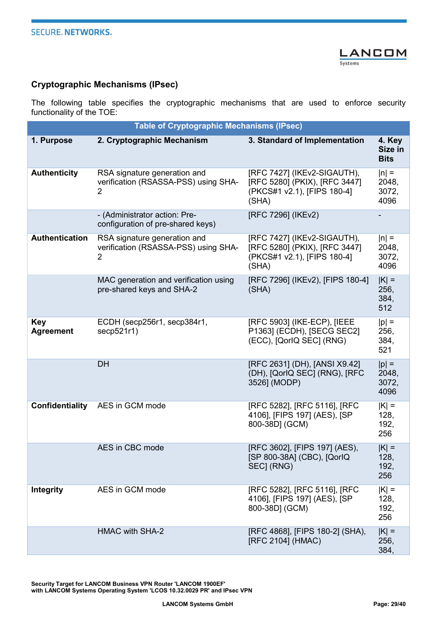

#### Cryptographic Mechanisms (IPsec)

The following table specifies the cryptographic mechanisms that are used to enforce security functionality of the TOE:

| <b>Table of Cryptographic Mechanisms (IPsec)</b> |                                                                                        |                                                                                                      |                                   |
|--------------------------------------------------|----------------------------------------------------------------------------------------|------------------------------------------------------------------------------------------------------|-----------------------------------|
| 1. Purpose                                       | 2. Cryptographic Mechanism                                                             | 3. Standard of Implementation                                                                        | 4. Key<br>Size in<br><b>Bits</b>  |
| <b>Authenticity</b>                              | RSA signature generation and<br>verification (RSASSA-PSS) using SHA-<br>$\overline{2}$ | [RFC 7427] (IKEv2-SIGAUTH),<br>[RFC 5280] (PKIX), [RFC 3447]<br>(PKCS#1 v2.1), [FIPS 180-4]<br>(SHA) | $ n  =$<br>2048,<br>3072,<br>4096 |
|                                                  | - (Administrator action: Pre-<br>configuration of pre-shared keys)                     | [RFC 7296] (IKEv2)                                                                                   |                                   |
| <b>Authentication</b>                            | RSA signature generation and<br>verification (RSASSA-PSS) using SHA-<br>$\overline{2}$ | [RFC 7427] (IKEv2-SIGAUTH),<br>[RFC 5280] (PKIX), [RFC 3447]<br>(PKCS#1 v2.1), [FIPS 180-4]<br>(SHA) | $ n  =$<br>2048,<br>3072,<br>4096 |
|                                                  | MAC generation and verification using<br>pre-shared keys and SHA-2                     | [RFC 7296] (IKEv2), [FIPS 180-4]<br>(SHA)                                                            | $ K  =$<br>256,<br>384,<br>512    |
| <b>Key</b><br><b>Agreement</b>                   | ECDH (secp256r1, secp384r1,<br>secp521r1)                                              | [RFC 5903] (IKE-ECP), [IEEE<br>P1363] (ECDH), [SECG SEC2]<br>(ECC), [QorlQ SEC] (RNG)                | $ p  =$<br>256,<br>384,<br>521    |
|                                                  | <b>DH</b>                                                                              | [RFC 2631] (DH), [ANSI X9.42]<br>(DH), [QorlQ SEC] (RNG), [RFC<br>3526] (MODP)                       | $ p  =$<br>2048,<br>3072,<br>4096 |
| Confidentiality                                  | AES in GCM mode                                                                        | [RFC 5282], [RFC 5116], [RFC<br>4106], [FIPS 197] (AES), [SP<br>800-38D] (GCM)                       | $ K  =$<br>128,<br>192,<br>256    |
|                                                  | AES in CBC mode                                                                        | [RFC 3602], [FIPS 197] (AES),<br>[SP 800-38A] (CBC), [QorlQ<br>SEC] (RNG)                            | $ K  =$<br>128,<br>192,<br>256    |
| Integrity                                        | AES in GCM mode                                                                        | [RFC 5282], [RFC 5116], [RFC<br>4106], [FIPS 197] (AES), [SP<br>800-38D] (GCM)                       | $ K  =$<br>128,<br>192,<br>256    |
|                                                  | <b>HMAC with SHA-2</b>                                                                 | [RFC 4868], [FIPS 180-2] (SHA),<br>[RFC 2104] (HMAC)                                                 | $ K $ =<br>256,<br>384,           |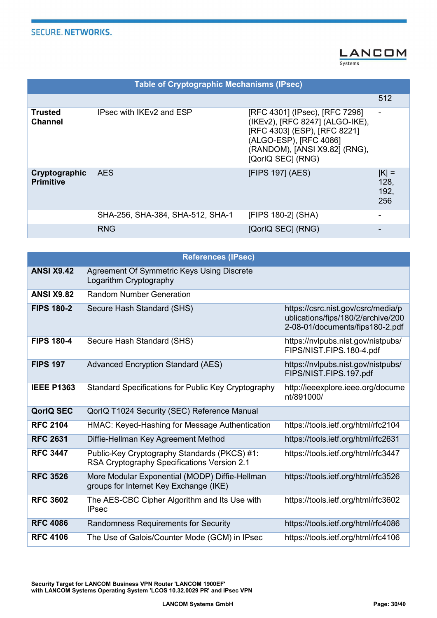#### **LANCOM** Systems

| <b>Table of Cryptographic Mechanisms (IPsec)</b> |                                  |                                                                                                                                                                                   |                                |
|--------------------------------------------------|----------------------------------|-----------------------------------------------------------------------------------------------------------------------------------------------------------------------------------|--------------------------------|
|                                                  |                                  |                                                                                                                                                                                   | 512                            |
| Trusted<br><b>Channel</b>                        | IPsec with IKEv2 and ESP         | [RFC 4301] (IPsec), [RFC 7296]<br>(IKEv2), [RFC 8247] (ALGO-IKE),<br>[RFC 4303] (ESP), [RFC 8221]<br>(ALGO-ESP), [RFC 4086]<br>(RANDOM), [ANSI X9.82] (RNG),<br>[QorlQ SEC] (RNG) |                                |
| Cryptographic<br><b>Primitive</b>                | <b>AES</b>                       | [FIPS 197] (AES)                                                                                                                                                                  | $ K  =$<br>128,<br>192,<br>256 |
|                                                  | SHA-256, SHA-384, SHA-512, SHA-1 | [FIPS 180-2] (SHA)                                                                                                                                                                |                                |
|                                                  | <b>RNG</b>                       | [QorlQ SEC] (RNG)                                                                                                                                                                 |                                |

| <b>References (IPsec)</b> |                                                                                             |                                                                                                             |
|---------------------------|---------------------------------------------------------------------------------------------|-------------------------------------------------------------------------------------------------------------|
| <b>ANSI X9.42</b>         | Agreement Of Symmetric Keys Using Discrete<br>Logarithm Cryptography                        |                                                                                                             |
| <b>ANSI X9.82</b>         | <b>Random Number Generation</b>                                                             |                                                                                                             |
| <b>FIPS 180-2</b>         | Secure Hash Standard (SHS)                                                                  | https://csrc.nist.gov/csrc/media/p<br>ublications/fips/180/2/archive/200<br>2-08-01/documents/fips180-2.pdf |
| <b>FIPS 180-4</b>         | Secure Hash Standard (SHS)                                                                  | https://nvlpubs.nist.gov/nistpubs/<br>FIPS/NIST.FIPS.180-4.pdf                                              |
| <b>FIPS 197</b>           | <b>Advanced Encryption Standard (AES)</b>                                                   | https://nvlpubs.nist.gov/nistpubs/<br>FIPS/NIST.FIPS.197.pdf                                                |
| <b>IEEE P1363</b>         | Standard Specifications for Public Key Cryptography                                         | http://ieeexplore.ieee.org/docume<br>nt/891000/                                                             |
| <b>QorlQ SEC</b>          | QorlQ T1024 Security (SEC) Reference Manual                                                 |                                                                                                             |
| <b>RFC 2104</b>           | HMAC: Keyed-Hashing for Message Authentication                                              | https://tools.ietf.org/html/rfc2104                                                                         |
| <b>RFC 2631</b>           | Diffie-Hellman Key Agreement Method                                                         | https://tools.ietf.org/html/rfc2631                                                                         |
| <b>RFC 3447</b>           | Public-Key Cryptography Standards (PKCS) #1:<br>RSA Cryptography Specifications Version 2.1 | https://tools.ietf.org/html/rfc3447                                                                         |
| <b>RFC 3526</b>           | More Modular Exponential (MODP) Diffie-Hellman<br>groups for Internet Key Exchange (IKE)    | https://tools.ietf.org/html/rfc3526                                                                         |
| <b>RFC 3602</b>           | The AES-CBC Cipher Algorithm and Its Use with<br><b>IPsec</b>                               | https://tools.ietf.org/html/rfc3602                                                                         |
| <b>RFC 4086</b>           | Randomness Requirements for Security                                                        | https://tools.ietf.org/html/rfc4086                                                                         |
| <b>RFC 4106</b>           | The Use of Galois/Counter Mode (GCM) in IPsec                                               | https://tools.ietf.org/html/rfc4106                                                                         |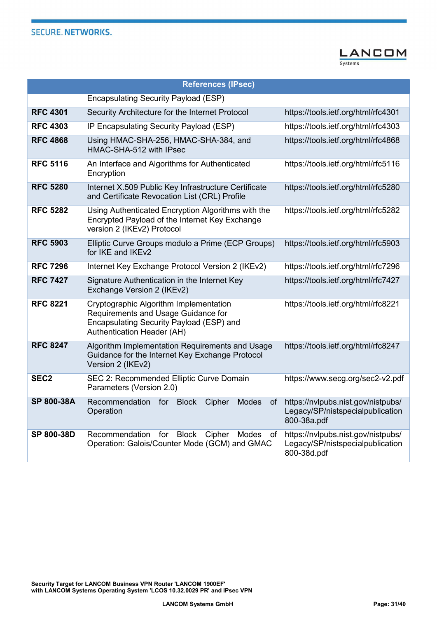

| <b>References (IPsec)</b> |                                                                                                                                                         |                                                                                       |
|---------------------------|---------------------------------------------------------------------------------------------------------------------------------------------------------|---------------------------------------------------------------------------------------|
|                           | <b>Encapsulating Security Payload (ESP)</b>                                                                                                             |                                                                                       |
| <b>RFC 4301</b>           | Security Architecture for the Internet Protocol                                                                                                         | https://tools.ietf.org/html/rfc4301                                                   |
| <b>RFC 4303</b>           | IP Encapsulating Security Payload (ESP)                                                                                                                 | https://tools.ietf.org/html/rfc4303                                                   |
| <b>RFC 4868</b>           | Using HMAC-SHA-256, HMAC-SHA-384, and<br>HMAC-SHA-512 with IPsec                                                                                        | https://tools.ietf.org/html/rfc4868                                                   |
| <b>RFC 5116</b>           | An Interface and Algorithms for Authenticated<br>Encryption                                                                                             | https://tools.ietf.org/html/rfc5116                                                   |
| <b>RFC 5280</b>           | Internet X.509 Public Key Infrastructure Certificate<br>and Certificate Revocation List (CRL) Profile                                                   | https://tools.ietf.org/html/rfc5280                                                   |
| <b>RFC 5282</b>           | Using Authenticated Encryption Algorithms with the<br>Encrypted Payload of the Internet Key Exchange<br>version 2 (IKEv2) Protocol                      | https://tools.ietf.org/html/rfc5282                                                   |
| <b>RFC 5903</b>           | Elliptic Curve Groups modulo a Prime (ECP Groups)<br>for IKE and IKEv2                                                                                  | https://tools.ietf.org/html/rfc5903                                                   |
| <b>RFC 7296</b>           | Internet Key Exchange Protocol Version 2 (IKEv2)                                                                                                        | https://tools.ietf.org/html/rfc7296                                                   |
| <b>RFC 7427</b>           | Signature Authentication in the Internet Key<br>Exchange Version 2 (IKEv2)                                                                              | https://tools.ietf.org/html/rfc7427                                                   |
| <b>RFC 8221</b>           | Cryptographic Algorithm Implementation<br>Requirements and Usage Guidance for<br>Encapsulating Security Payload (ESP) and<br>Authentication Header (AH) | https://tools.ietf.org/html/rfc8221                                                   |
| <b>RFC 8247</b>           | Algorithm Implementation Requirements and Usage<br>Guidance for the Internet Key Exchange Protocol<br>Version 2 (IKEv2)                                 | https://tools.ietf.org/html/rfc8247                                                   |
| SEC <sub>2</sub>          | SEC 2: Recommended Elliptic Curve Domain<br>Parameters (Version 2.0)                                                                                    | https://www.secg.org/sec2-v2.pdf                                                      |
| <b>SP 800-38A</b>         | Recommendation for<br><b>Block</b><br><b>Modes</b><br>Cipher<br>0f<br>Operation                                                                         | https://nvlpubs.nist.gov/nistpubs/<br>Legacy/SP/nistspecialpublication<br>800-38a.pdf |
| SP 800-38D                | <b>Block</b><br>Recommendation<br>for<br>Cipher<br>Modes<br>of<br>Operation: Galois/Counter Mode (GCM) and GMAC                                         | https://nvlpubs.nist.gov/nistpubs/<br>Legacy/SP/nistspecialpublication<br>800-38d.pdf |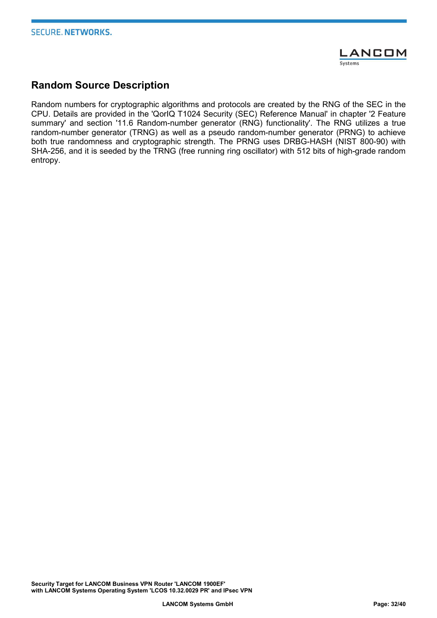

## Random Source Description

Random numbers for cryptographic algorithms and protocols are created by the RNG of the SEC in the CPU. Details are provided in the 'QorIQ T1024 Security (SEC) Reference Manual' in chapter '2 Feature summary' and section '11.6 Random-number generator (RNG) functionality'. The RNG utilizes a true random-number generator (TRNG) as well as a pseudo random-number generator (PRNG) to achieve both true randomness and cryptographic strength. The PRNG uses DRBG-HASH (NIST 800-90) with SHA-256, and it is seeded by the TRNG (free running ring oscillator) with 512 bits of high-grade random entropy.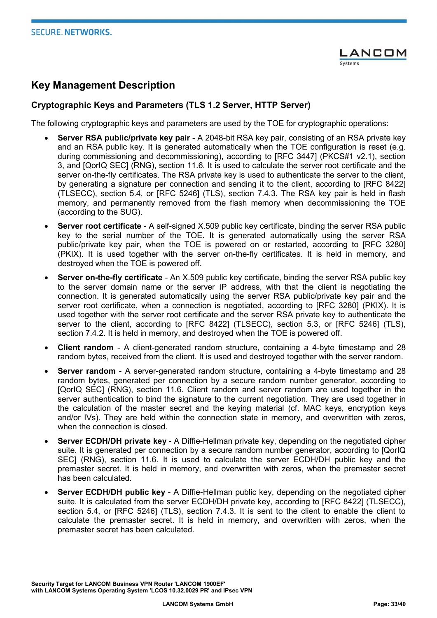

## Key Management Description

#### Cryptographic Keys and Parameters (TLS 1.2 Server, HTTP Server)

The following cryptographic keys and parameters are used by the TOE for cryptographic operations:

- Server RSA public/private key pair A 2048-bit RSA key pair, consisting of an RSA private key and an RSA public key. It is generated automatically when the TOE configuration is reset (e.g. during commissioning and decommissioning), according to [RFC 3447] (PKCS#1 v2.1), section 3, and [QorIQ SEC] (RNG), section 11.6. It is used to calculate the server root certificate and the server on-the-fly certificates. The RSA private key is used to authenticate the server to the client, by generating a signature per connection and sending it to the client, according to [RFC 8422] (TLSECC), section 5.4, or [RFC 5246] (TLS), section 7.4.3. The RSA key pair is held in flash memory, and permanently removed from the flash memory when decommissioning the TOE (according to the SUG).
- Server root certificate A self-signed X.509 public key certificate, binding the server RSA public key to the serial number of the TOE. It is generated automatically using the server RSA public/private key pair, when the TOE is powered on or restarted, according to [RFC 3280] (PKIX). It is used together with the server on-the-fly certificates. It is held in memory, and destroyed when the TOE is powered off.
- Server on-the-fly certificate An X.509 public key certificate, binding the server RSA public key to the server domain name or the server IP address, with that the client is negotiating the connection. It is generated automatically using the server RSA public/private key pair and the server root certificate, when a connection is negotiated, according to [RFC 3280] (PKIX). It is used together with the server root certificate and the server RSA private key to authenticate the server to the client, according to [RFC 8422] (TLSECC), section 5.3, or [RFC 5246] (TLS), section 7.4.2. It is held in memory, and destroyed when the TOE is powered off.
- Client random A client-generated random structure, containing a 4-byte timestamp and 28 random bytes, received from the client. It is used and destroyed together with the server random.
- Server random A server-generated random structure, containing a 4-byte timestamp and 28 random bytes, generated per connection by a secure random number generator, according to [QorIQ SEC] (RNG), section 11.6. Client random and server random are used together in the server authentication to bind the signature to the current negotiation. They are used together in the calculation of the master secret and the keying material (cf. MAC keys, encryption keys and/or IVs). They are held within the connection state in memory, and overwritten with zeros, when the connection is closed.
- Server ECDH/DH private key A Diffie-Hellman private key, depending on the negotiated cipher suite. It is generated per connection by a secure random number generator, according to [QorIQ SEC] (RNG), section 11.6. It is used to calculate the server ECDH/DH public key and the premaster secret. It is held in memory, and overwritten with zeros, when the premaster secret has been calculated.
- Server ECDH/DH public key A Diffie-Hellman public key, depending on the negotiated cipher suite. It is calculated from the server ECDH/DH private key, according to [RFC 8422] (TLSECC), section 5.4, or [RFC 5246] (TLS), section 7.4.3. It is sent to the client to enable the client to calculate the premaster secret. It is held in memory, and overwritten with zeros, when the premaster secret has been calculated.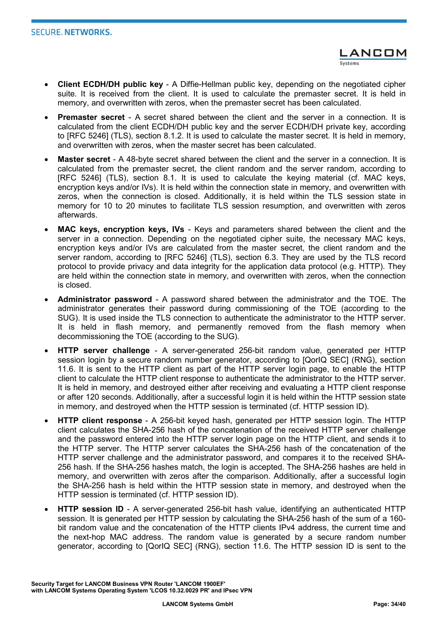- Client ECDH/DH public key A Diffie-Hellman public key, depending on the negotiated cipher suite. It is received from the client. It is used to calculate the premaster secret. It is held in memory, and overwritten with zeros, when the premaster secret has been calculated.
- Premaster secret A secret shared between the client and the server in a connection. It is calculated from the client ECDH/DH public key and the server ECDH/DH private key, according to [RFC 5246] (TLS), section 8.1.2. It is used to calculate the master secret. It is held in memory, and overwritten with zeros, when the master secret has been calculated.
- Master secret A 48-byte secret shared between the client and the server in a connection. It is calculated from the premaster secret, the client random and the server random, according to [RFC 5246] (TLS), section 8.1. It is used to calculate the keying material (cf. MAC keys, encryption keys and/or IVs). It is held within the connection state in memory, and overwritten with zeros, when the connection is closed. Additionally, it is held within the TLS session state in memory for 10 to 20 minutes to facilitate TLS session resumption, and overwritten with zeros afterwards.
- MAC keys, encryption keys, IVs Keys and parameters shared between the client and the server in a connection. Depending on the negotiated cipher suite, the necessary MAC keys, encryption keys and/or IVs are calculated from the master secret, the client random and the server random, according to [RFC 5246] (TLS), section 6.3. They are used by the TLS record protocol to provide privacy and data integrity for the application data protocol (e.g. HTTP). They are held within the connection state in memory, and overwritten with zeros, when the connection is closed.
- Administrator password A password shared between the administrator and the TOE. The administrator generates their password during commissioning of the TOE (according to the SUG). It is used inside the TLS connection to authenticate the administrator to the HTTP server. It is held in flash memory, and permanently removed from the flash memory when decommissioning the TOE (according to the SUG).
- HTTP server challenge A server-generated 256-bit random value, generated per HTTP session login by a secure random number generator, according to [QorIQ SEC] (RNG), section 11.6. It is sent to the HTTP client as part of the HTTP server login page, to enable the HTTP client to calculate the HTTP client response to authenticate the administrator to the HTTP server. It is held in memory, and destroyed either after receiving and evaluating a HTTP client response or after 120 seconds. Additionally, after a successful login it is held within the HTTP session state in memory, and destroyed when the HTTP session is terminated (cf. HTTP session ID).
- HTTP client response A 256-bit keyed hash, generated per HTTP session login. The HTTP client calculates the SHA-256 hash of the concatenation of the received HTTP server challenge and the password entered into the HTTP server login page on the HTTP client, and sends it to the HTTP server. The HTTP server calculates the SHA-256 hash of the concatenation of the HTTP server challenge and the administrator password, and compares it to the received SHA-256 hash. If the SHA-256 hashes match, the login is accepted. The SHA-256 hashes are held in memory, and overwritten with zeros after the comparison. Additionally, after a successful login the SHA-256 hash is held within the HTTP session state in memory, and destroyed when the HTTP session is terminated (cf. HTTP session ID).
- HTTP session ID A server-generated 256-bit hash value, identifying an authenticated HTTP session. It is generated per HTTP session by calculating the SHA-256 hash of the sum of a 160 bit random value and the concatenation of the HTTP clients IPv4 address, the current time and the next-hop MAC address. The random value is generated by a secure random number generator, according to [QorIQ SEC] (RNG), section 11.6. The HTTP session ID is sent to the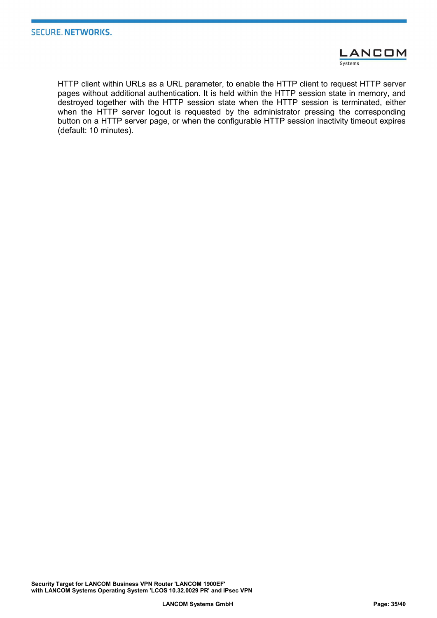

HTTP client within URLs as a URL parameter, to enable the HTTP client to request HTTP server pages without additional authentication. It is held within the HTTP session state in memory, and destroyed together with the HTTP session state when the HTTP session is terminated, either when the HTTP server logout is requested by the administrator pressing the corresponding button on a HTTP server page, or when the configurable HTTP session inactivity timeout expires (default: 10 minutes).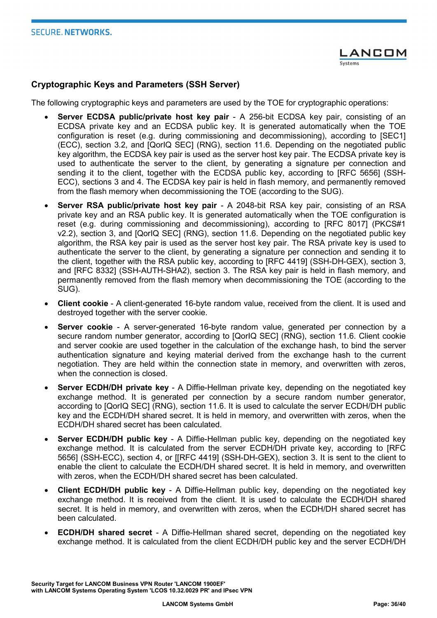#### Cryptographic Keys and Parameters (SSH Server)

The following cryptographic keys and parameters are used by the TOE for cryptographic operations:

- Server ECDSA public/private host key pair A 256-bit ECDSA key pair, consisting of an ECDSA private key and an ECDSA public key. It is generated automatically when the TOE configuration is reset (e.g. during commissioning and decommissioning), according to [SEC1] (ECC), section 3.2, and [QorIQ SEC] (RNG), section 11.6. Depending on the negotiated public key algorithm, the ECDSA key pair is used as the server host key pair. The ECDSA private key is used to authenticate the server to the client, by generating a signature per connection and sending it to the client, together with the ECDSA public key, according to [RFC 5656] (SSH-ECC), sections 3 and 4. The ECDSA key pair is held in flash memory, and permanently removed from the flash memory when decommissioning the TOE (according to the SUG).
- Server RSA public/private host key pair A 2048-bit RSA key pair, consisting of an RSA private key and an RSA public key. It is generated automatically when the TOE configuration is reset (e.g. during commissioning and decommissioning), according to [RFC 8017] (PKCS#1 v2.2), section 3, and [QorIQ SEC] (RNG), section 11.6. Depending on the negotiated public key algorithm, the RSA key pair is used as the server host key pair. The RSA private key is used to authenticate the server to the client, by generating a signature per connection and sending it to the client, together with the RSA public key, according to [RFC 4419] (SSH-DH-GEX), section 3, and [RFC 8332] (SSH-AUTH-SHA2), section 3. The RSA key pair is held in flash memory, and permanently removed from the flash memory when decommissioning the TOE (according to the SUG).
- Client cookie A client-generated 16-byte random value, received from the client. It is used and destroyed together with the server cookie.
- Server cookie A server-generated 16-byte random value, generated per connection by a secure random number generator, according to [QorIQ SEC] (RNG), section 11.6. Client cookie and server cookie are used together in the calculation of the exchange hash, to bind the server authentication signature and keying material derived from the exchange hash to the current negotiation. They are held within the connection state in memory, and overwritten with zeros, when the connection is closed.
- Server ECDH/DH private key A Diffie-Hellman private key, depending on the negotiated key exchange method. It is generated per connection by a secure random number generator, according to [QorIQ SEC] (RNG), section 11.6. It is used to calculate the server ECDH/DH public key and the ECDH/DH shared secret. It is held in memory, and overwritten with zeros, when the ECDH/DH shared secret has been calculated.
- Server ECDH/DH public key A Diffie-Hellman public key, depending on the negotiated key exchange method. It is calculated from the server ECDH/DH private key, according to [RFC 5656] (SSH-ECC), section 4, or [[RFC 4419] (SSH-DH-GEX), section 3. It is sent to the client to enable the client to calculate the ECDH/DH shared secret. It is held in memory, and overwritten with zeros, when the ECDH/DH shared secret has been calculated.
- Client ECDH/DH public key A Diffie-Hellman public key, depending on the negotiated key exchange method. It is received from the client. It is used to calculate the ECDH/DH shared secret. It is held in memory, and overwritten with zeros, when the ECDH/DH shared secret has been calculated.
- ECDH/DH shared secret A Diffie-Hellman shared secret, depending on the negotiated key exchange method. It is calculated from the client ECDH/DH public key and the server ECDH/DH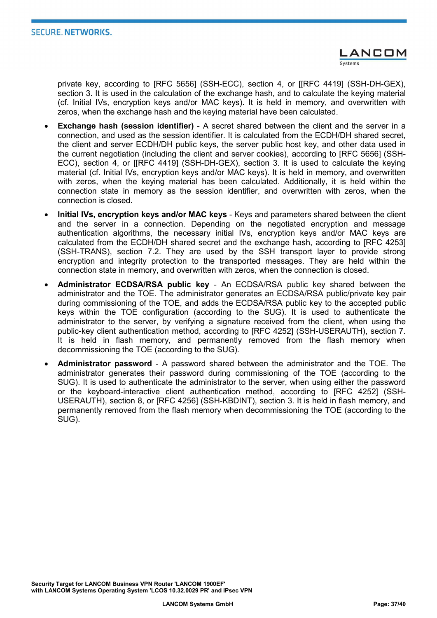private key, according to [RFC 5656] (SSH-ECC), section 4, or [[RFC 4419] (SSH-DH-GEX), section 3. It is used in the calculation of the exchange hash, and to calculate the keying material (cf. Initial IVs, encryption keys and/or MAC keys). It is held in memory, and overwritten with zeros, when the exchange hash and the keying material have been calculated.

- Exchange hash (session identifier) A secret shared between the client and the server in a connection, and used as the session identifier. It is calculated from the ECDH/DH shared secret, the client and server ECDH/DH public keys, the server public host key, and other data used in the current negotiation (including the client and server cookies), according to [RFC 5656] (SSH-ECC), section 4, or [[RFC 4419] (SSH-DH-GEX), section 3. It is used to calculate the keying material (cf. Initial IVs, encryption keys and/or MAC keys). It is held in memory, and overwritten with zeros, when the keying material has been calculated. Additionally, it is held within the connection state in memory as the session identifier, and overwritten with zeros, when the connection is closed.
- Initial IVs, encryption keys and/or MAC keys Keys and parameters shared between the client and the server in a connection. Depending on the negotiated encryption and message authentication algorithms, the necessary initial IVs, encryption keys and/or MAC keys are calculated from the ECDH/DH shared secret and the exchange hash, according to [RFC 4253] (SSH-TRANS), section 7.2. They are used by the SSH transport layer to provide strong encryption and integrity protection to the transported messages. They are held within the connection state in memory, and overwritten with zeros, when the connection is closed.
- Administrator ECDSA/RSA public key An ECDSA/RSA public key shared between the administrator and the TOE. The administrator generates an ECDSA/RSA public/private key pair during commissioning of the TOE, and adds the ECDSA/RSA public key to the accepted public keys within the TOE configuration (according to the SUG). It is used to authenticate the administrator to the server, by verifying a signature received from the client, when using the public-key client authentication method, according to [RFC 4252] (SSH-USERAUTH), section 7. It is held in flash memory, and permanently removed from the flash memory when decommissioning the TOE (according to the SUG).
- Administrator password A password shared between the administrator and the TOE. The administrator generates their password during commissioning of the TOE (according to the SUG). It is used to authenticate the administrator to the server, when using either the password or the keyboard-interactive client authentication method, according to [RFC 4252] (SSH-USERAUTH), section 8, or [RFC 4256] (SSH-KBDINT), section 3. It is held in flash memory, and permanently removed from the flash memory when decommissioning the TOE (according to the SUG).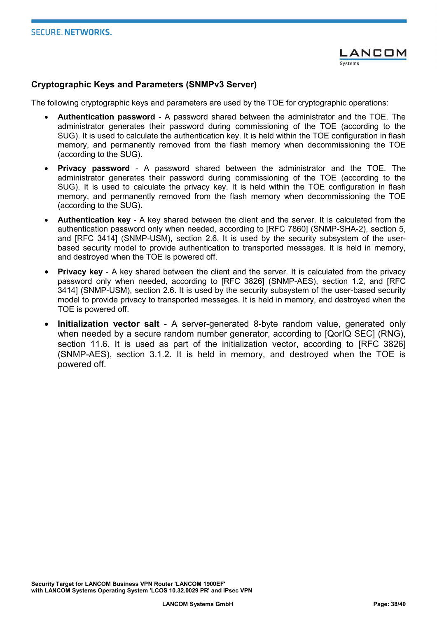#### Cryptographic Keys and Parameters (SNMPv3 Server)

The following cryptographic keys and parameters are used by the TOE for cryptographic operations:

- Authentication password A password shared between the administrator and the TOE. The administrator generates their password during commissioning of the TOE (according to the SUG). It is used to calculate the authentication key. It is held within the TOE configuration in flash memory, and permanently removed from the flash memory when decommissioning the TOE (according to the SUG).
- Privacy password A password shared between the administrator and the TOE. The administrator generates their password during commissioning of the TOE (according to the SUG). It is used to calculate the privacy key. It is held within the TOE configuration in flash memory, and permanently removed from the flash memory when decommissioning the TOE (according to the SUG).
- Authentication key A key shared between the client and the server. It is calculated from the authentication password only when needed, according to [RFC 7860] (SNMP-SHA-2), section 5, and [RFC 3414] (SNMP-USM), section 2.6. It is used by the security subsystem of the userbased security model to provide authentication to transported messages. It is held in memory, and destroyed when the TOE is powered off.
- **Privacy key -** A key shared between the client and the server. It is calculated from the privacy password only when needed, according to [RFC 3826] (SNMP-AES), section 1.2, and [RFC 3414] (SNMP-USM), section 2.6. It is used by the security subsystem of the user-based security model to provide privacy to transported messages. It is held in memory, and destroyed when the TOE is powered off.
- Initialization vector salt A server-generated 8-byte random value, generated only when needed by a secure random number generator, according to [QorIQ SEC] (RNG), section 11.6. It is used as part of the initialization vector, according to [RFC 3826] (SNMP-AES), section 3.1.2. It is held in memory, and destroyed when the TOE is powered off.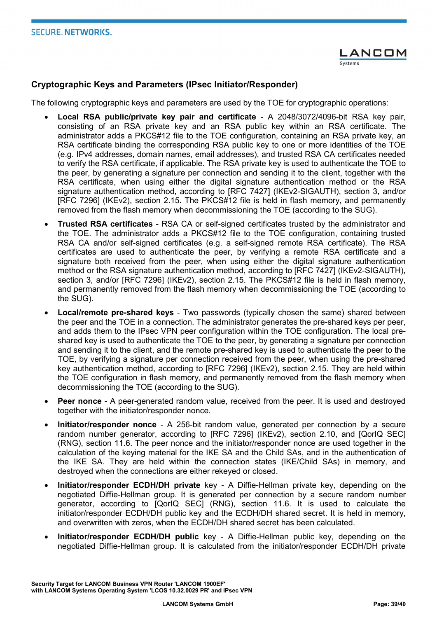#### Cryptographic Keys and Parameters (IPsec Initiator/Responder)

The following cryptographic keys and parameters are used by the TOE for cryptographic operations:

- Local RSA public/private key pair and certificate A 2048/3072/4096-bit RSA key pair, consisting of an RSA private key and an RSA public key within an RSA certificate. The administrator adds a PKCS#12 file to the TOE configuration, containing an RSA private key, an RSA certificate binding the corresponding RSA public key to one or more identities of the TOE (e.g. IPv4 addresses, domain names, email addresses), and trusted RSA CA certificates needed to verify the RSA certificate, if applicable. The RSA private key is used to authenticate the TOE to the peer, by generating a signature per connection and sending it to the client, together with the RSA certificate, when using either the digital signature authentication method or the RSA signature authentication method, according to [RFC 7427] (IKEv2-SIGAUTH), section 3, and/or [RFC 7296] (IKEv2), section 2.15. The PKCS#12 file is held in flash memory, and permanently removed from the flash memory when decommissioning the TOE (according to the SUG).
- Trusted RSA certificates RSA CA or self-signed certificates trusted by the administrator and the TOE. The administrator adds a PKCS#12 file to the TOE configuration, containing trusted RSA CA and/or self-signed certificates (e.g. a self-signed remote RSA certificate). The RSA certificates are used to authenticate the peer, by verifying a remote RSA certificate and a signature both received from the peer, when using either the digital signature authentication method or the RSA signature authentication method, according to [RFC 7427] (IKEv2-SIGAUTH), section 3, and/or [RFC 7296] (IKEv2), section 2.15. The PKCS#12 file is held in flash memory, and permanently removed from the flash memory when decommissioning the TOE (according to the SUG).
- Local/remote pre-shared keys Two passwords (typically chosen the same) shared between the peer and the TOE in a connection. The administrator generates the pre-shared keys per peer, and adds them to the IPsec VPN peer configuration within the TOE configuration. The local preshared key is used to authenticate the TOE to the peer, by generating a signature per connection and sending it to the client, and the remote pre-shared key is used to authenticate the peer to the TOE, by verifying a signature per connection received from the peer, when using the pre-shared key authentication method, according to [RFC 7296] (IKEv2), section 2.15. They are held within the TOE configuration in flash memory, and permanently removed from the flash memory when decommissioning the TOE (according to the SUG).
- Peer nonce A peer-generated random value, received from the peer. It is used and destroyed together with the initiator/responder nonce.
- Initiator/responder nonce A 256-bit random value, generated per connection by a secure random number generator, according to [RFC 7296] (IKEv2), section 2.10, and [QorIQ SEC] (RNG), section 11.6. The peer nonce and the initiator/responder nonce are used together in the calculation of the keying material for the IKE SA and the Child SAs, and in the authentication of the IKE SA. They are held within the connection states (IKE/Child SAs) in memory, and destroyed when the connections are either rekeyed or closed.
- Initiator/responder ECDH/DH private key A Diffie-Hellman private key, depending on the negotiated Diffie-Hellman group. It is generated per connection by a secure random number generator, according to [QorIQ SEC] (RNG), section 11.6. It is used to calculate the initiator/responder ECDH/DH public key and the ECDH/DH shared secret. It is held in memory, and overwritten with zeros, when the ECDH/DH shared secret has been calculated.
- Initiator/responder ECDH/DH public key A Diffie-Hellman public key, depending on the negotiated Diffie-Hellman group. It is calculated from the initiator/responder ECDH/DH private